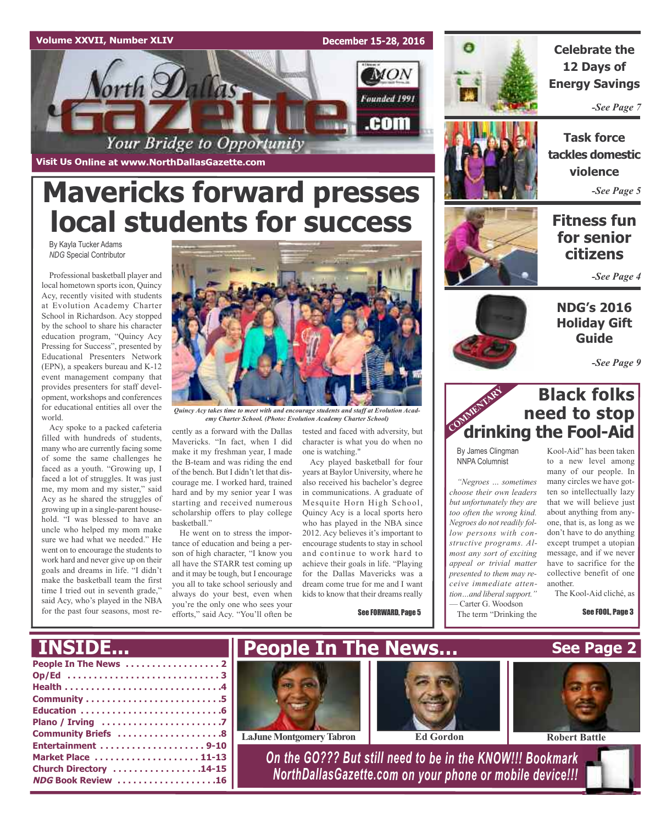#### **Volume XXVII, Number XLIV**

**Visit Us Online at www.NorthDallasGazette.com**

orth Dallas

By Kayla Tucker Adams *NDG* Special Contributor

world.

Acy spoke to a packed cafeteria filled with hundreds of students, many who are currently facing some of some the same challenges he faced as a youth. "Growing up, I faced a lot of struggles. It was just me, my mom and my sister," said Acy as he shared the struggles of growing up in a single-parent household. "I was blessed to have an uncle who helped my mom make sure we had what we needed." He went on to encourage the students to work hard and never give up on their goals and dreams in life. "I didn't make the basketball team the first time I tried out in seventh grade," said Acy, who's played in the NBA for the past four seasons, most re**December 15-28, 2016**

**MON** 

Founded 1991

.com



**Celebrate the 12 Days of Energy Savings**

*-See Page 7*



**Task force tackles domestic violence** *-See Page 5*

# **Fitness fun for senior citizens**

*-See Page 4*

**NDG's 2016 Holiday Gift Guide**

*-See Page 9*

# **Black folks need to stop drinking the Fool-Aid**

By James Clingman NNPA Columnist

*"Negroes … sometimes choose their own leaders but unfortunately they are too often the wrong kind. Negroes do not readily follow persons with constructive programs. Almost any sort of exciting appeal or trivial matter presented to them may receive immediate attention…and liberalsupport."* — Carter G. Woodson The term "Drinking the

Kool-Aid" has been taken to a new level among many of our people. In many circles we have gotten so intellectually lazy that we will believe just about anything from anyone, that is, as long as we don't have to do anything except trumpet a utopian message, and if we never have to sacrifice for the collective benefit of one another.

The Kool-Aid cliché, as

See FOOL, Page 3



*Quincy Acy takes time to meet with and encourage students and staff at Evolution Academy Charter School. (Photo: Evolution Academy Charter School)*

cently as a forward with the Dallas Mavericks. "In fact, when I did make it my freshman year, I made the B-team and was riding the end of the bench. But I didn't let that discourage me. I worked hard, trained hard and by my senior year I was starting and received numerous scholarship offers to play college basketball."

**Mavericks forward presses**

Your Bridge to Opportunity

**local students for success**

He went on to stress the importance of education and being a person of high character, "I know you all have the STARR test coming up and it may be tough, but I encourage you all to take school seriously and always do your best, even when you're the only one who sees your efforts," said Acy. "You'll often be

tested and faced with adversity, but character is what you do when no one is watching."

Acy played basketball for four years at Baylor University, where he also received his bachelor's degree in communications. A graduate of Mesquite Horn High School, Quincy Acy is a local sports hero who has played in the NBA since 2012. Acy believes it's important to encourage students to stay in school and continue to work hard to achieve their goals in life. "Playing for the Dallas Mavericks was a dream come true for me and I want kids to know that their dreams really

See FORWARD, Page 5



# COMMENTARY

**People In The News . . . . . . . . . . . . . . . . . . 2 Op/Ed . . . . . . . . . . . . . . . . . . . . . . . . . . . . . 3 Health . . . . . . . . . . . . . . . . . . . . . . . . . . . . . .4 Community . . . . . . . . . . . . . . . . . . . . . . . . . .5 Education . . . . . . . . . . . . . . . . . . . . . . . . . . .6 Plano / Irving . . . . . . . . . . . . . . . . . . . . . . .7 Community Briefs . . . . . . . . . . . . . . . . . . . .8 Entertainment . . . . . . . . . . . . . . . . . . . . 9-10 Market Place . . . . . . . . . . . . . . . . . . . . 11-13 Church Directory . . . . . . . . . . . . . . . . .14-15 NDG Book Review . . . . . . . . . . . . . . . . . . .16** *On the GO??? But still need to be in the KNOW!!! Bookmark NorthDallasGazette.com on your phone or mobile device!!!* **INSIDE... See Page 2 People In The News… LaJune Montgomery Tabron Ed Gordon Robert Battle** 

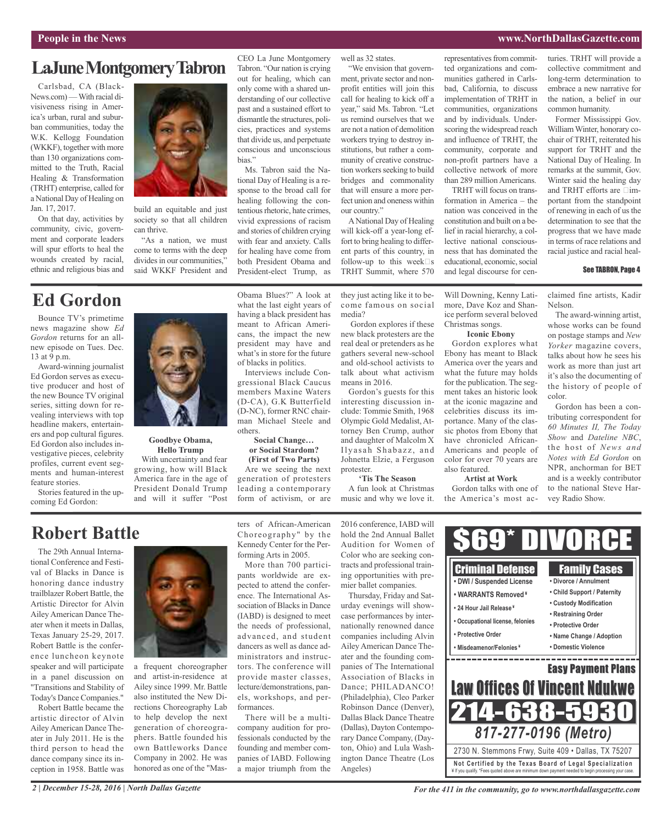#### **People in the News www.NorthDallasGazette.com**

# **LaJuneMontgomeryTabron**

Carlsbad, CA (Black-News.com)—With racial divisiveness rising in America's urban, rural and suburban communities, today the W.K. Kellogg Foundation (WKKF), together with more than 130 organizations committed to the Truth, Racial Healing & Transformation (TRHT) enterprise, called for a National Day of Healing on Jan. 17, 2017.

On that day, activities by community, civic, government and corporate leaders will spur efforts to heal the wounds created by racial, ethnic and religious bias and

Bounce TV's primetime news magazine show *Ed Gordon* returns for an allnew episode on Tues. Dec.

**Ed Gordon**

Award-winning journalist Ed Gordon serves as executive producer and host of the new Bounce TV original series, sitting down for revealing interviews with top headline makers, entertainers and pop cultural figures. Ed Gordon also includes investigative pieces, celebrity profiles, current event segments and human-interest

13 at 9 p.m.

feature stories.

coming Ed Gordon:



build an equitable and just society so that all children can thrive.

"As a nation, we must come to terms with the deep divides in our communities," said WKKF President and CEO La June Montgomery Tabron. "Our nation is crying out for healing, which can only come with a shared understanding of our collective past and a sustained effort to dismantle the structures, policies, practices and systems that divide us, and perpetuate conscious and unconscious bias."

Ms. Tabron said the National Day of Healing is a response to the broad call for healing following the contentious rhetoric, hate crimes, vivid expressions of racism and stories of children crying with fear and anxiety. Calls for healing have come from both President Obama and President-elect Trump, as

well as 32 states. "We envision that govern-

ment, private sector and nonprofit entities will join this call for healing to kick off a year," said Ms. Tabron. "Let us remind ourselves that we are not a nation of demolition workers trying to destroy institutions, but rather a community of creative construction workers seeking to build bridges and commonality that will ensure a more perfect union and oneness within our country."

ANational Day of Healing will kick-off a year-long effort to bring healing to different parts of this country, in follow-up to this week $\Box$ s TRHT Summit, where 570

they just acting like it to become famous on social media? Will Downing, Kenny Latimore, Dave Koz and Shanice perform several beloved

Gordon explores if these new black protesters are the real deal or pretenders as he gathers several new-school and old-school activists to talk about what activism means in 2016.

Gordon's guests for this interesting discussion include: Tommie Smith, 1968 Olympic Gold Medalist, Attorney Ben Crump, author and daughter of Malcolm X Ilyasah Shabazz, and Johnetta Elzie, a Ferguson protester.

**'Tis The Season**

A fun look at Christmas

implementation of TRHT in communities, organizations and by individuals. Underscoring the widespread reach and influence of TRHT, the community, corporate and non-profit partners have a collective network of more than 289 million Americans. TRHT will focus on transformation in America – the

representatives from committed organizations and communities gathered in Carlsbad, California, to discuss

nation was conceived in the constitution and built on a belief in racial hierarchy, a collective national consciousness that has dominated the educational, economic, social and legal discourse for cen-

**Iconic Ebony** Gordon explores what Ebony has meant to Black America over the years and what the future may holds for the publication. The segment takes an historic look at the iconic magazine and celebrities discuss its importance. Many of the classic photos from Ebony that have chronicled African-Americans and people of color for over 70 years are

Christmas songs.

also featured.

**Artist at Work** Gordon talks with one of the America's most acturies. TRHT will provide a collective commitment and long-term determination to embrace a new narrative for the nation, a belief in our common humanity.

Former Mississippi Gov. WilliamWinter, honorary cochair of TRHT, reiterated his support for TRHT and the National Day of Healing. In remarks at the summit, Gov. Winter said the healing day and TRHT efforts are  $\Box$ important from the standpoint of renewing in each of us the determination to see that the progress that we have made in terms of race relations and racial justice and racial heal-

#### See TABRON, Page 4

claimed fine artists, Kadir Nelson.

The award-winning artist, whose works can be found on postage stamps and *New Yorker* magazine covers, talks about how he sees his work as more than just art it's also the documenting of the history of people of color.

Gordon has been a contributing correspondent for *60 Minutes II, The Today Show* and *Dateline NBC*, the host of *News and Notes with Ed Gordon* on NPR, anchorman for BET and is a weekly contributor to the national Steve Harvey Radio Show.

# **Robert Battle**

Stories featured in the up-

The 29th Annual International Conference and Festival of Blacks in Dance is honoring dance industry trailblazer Robert Battle, the Artistic Director for Alvin Ailey American Dance Theater when it meets in Dallas, Texas January 25-29, 2017. Robert Battle is the conference luncheon keynote speaker and will participate in a panel discussion on "Transitions and Stability of Today's Dance Companies."

Robert Battle became the artistic director of Alvin Ailey American Dance Theater in July 2011. He is the third person to head the dance company since its inception in 1958. Battle was



**Hello Trump** With uncertainty and fear growing, how will Black America fare in the age of President Donald Trump and will it suffer "Post

a frequent choreographer and artist-in-residence at Ailey since 1999. Mr. Battle also instituted the New Directions Choreography Lab to help develop the next generation of choreographers. Battle founded his own Battleworks Dance Company in 2002. He was honored as one of the "Maswhat the last eight years of having a black president has meant to African Americans, the impact the new president may have and what's in store for the future of blacks in politics. Interviews include Con-

Obama Blues?" A look at

gressional Black Caucus members Maxine Waters (D-CA), G.K Butterfield (D-NC), former RNC chairman Michael Steele and others.

#### **Social Change… or Social Stardom? (First of Two Parts)**

Are we seeing the next generation of protesters leading a contemporary form of activism, or are

forming Arts in 2005.

formances.

More than 700 partici-

music and why we love it. ters of African-American Choreography" by the Kennedy Center for the Per-

pants worldwide are expected to attend the conference. The International Association of Blacks in Dance (IABD) is designed to meet the needs of professional, advanced, and student dancers as well as dance administrators and instructors. The conference will provide master classes, lecture/demonstrations, panels, workshops, and per-There will be a multicompany audition for professionals conducted by the founding and member companies of IABD. Following a major triumph from the mier ballet companies. Thursday, Friday and Sat-

2016 conference, IABD will hold the 2nd Annual Ballet Audition for Women of Color who are seeking contracts and professional training opportunities with pre-

urday evenings will showcase performances by internationally renowned dance companies including Alvin Ailey American Dance Theater and the founding companies of The International Association of Blacks in Dance; PHILADANCO! (Philadelphia), Cleo Parker Robinson Dance (Denver), Dallas Black Dance Theatre (Dallas), Dayton Contemporary Dance Company, (Dayton, Ohio) and Lula Washington Dance Theatre (Los Angeles)



*For the 411 in the community, go to www.northdallasgazette.com*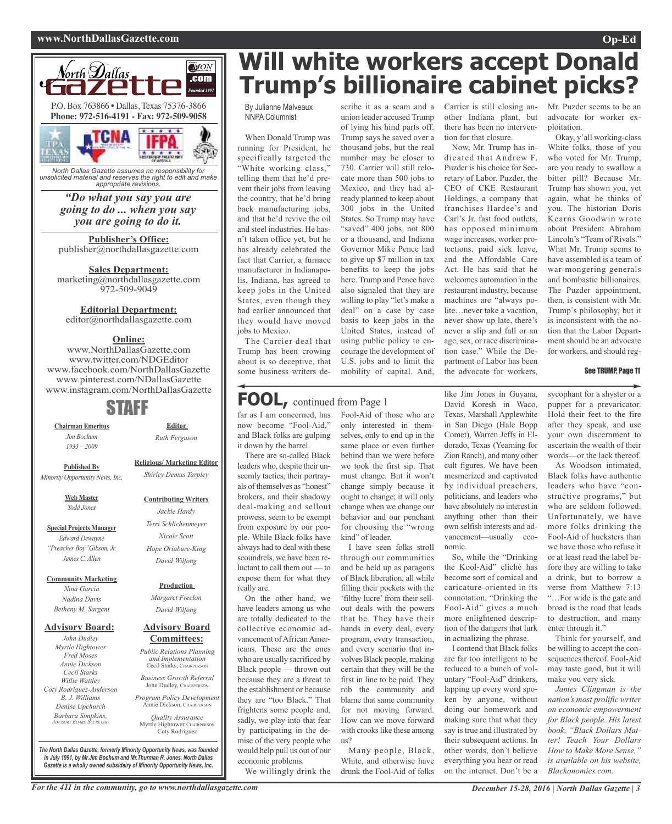#### **www.NorthDallasGazette.com Op-Ed**



*unsolicited material and reserves the right to edit and make appropriate revisions.*

#### *"Do what you say you are going to do ... when you say you are going to do it.*

**Publisher's Office:** publisher@northdallasgazette.com

**Sales Department:** marketing@northdallasgazette.com 972-509-9049

#### **Editorial Department:**

editor@northdallasgazette.com

#### **Online:**

www.NorthDallasGazette.com www.twitter.com/NDGEditor www.facebook.com/NorthDallasGazette www.pinterest.com/NDallasGazette www.instagram.com/NorthDallasGazette

# STAFF

**Chairman Emeritus** *Jim Bochum 1933 – 2009*

**Religious/ Marketing Editor**

**Editor** *Ruth Ferguson*

**Published By** *Minority Opportunity News, Inc.*

> **Web Master** *Todd Jones*

**Special Projects Manager** *Edward Dewayne "Preacher Boy"Gibson, Jr. James C. Allen*

**Community Marketing**

*Nina Garcia Nadina Davis Betheny M. Sargent*

#### **Advisory Board:**

*John Dudley Myrtle Hightower Fred Moses Annie Dickson Cecil Starks Willie Wattley Coty Rodriguez-Anderson B. J. Williams Denise Upchurch Barbara Simpkins, ADVISORY BOARD SECRETARY*

*Hope Oriabure-King David Wilfong* **Production**

*Margaret Freelon David Wilfong*

#### **Advisory Board Committees:**

*Public Relations Planning and Implementation* Cecil Starks, CHAIRPERSON *Business Growth Referral*

John Dudley, CHAIRPERSON *Program Policy Development* Annie Dickson, CHAIRPER

*Quality Assurance* Myrtle Hightower, CHAIRPERS Coty Rodriguez

**Will white workers accept Donald Trump's billionaire cabinet picks?**

By Julianne Malveaux NNPA Columnist

When Donald Trump was running for President, he specifically targeted the "White working class," telling them that he'd prevent their jobs from leaving the country, that he'd bring back manufacturing jobs, and that he'd revive the oil and steel industries. He hasn't taken office yet, but he has already celebrated the fact that Carrier, a furnace manufacturer in Indianapolis, Indiana, has agreed to keep jobs in the United States, even though they had earlier announced that they would have moved jobs to Mexico.

The Carrier deal that Trump has been crowing about is so deceptive, that some business writers de-

#### scribe it as a scam and a Carrier is still closing anunion leader accused Trump of lying his hind parts off. Trump says he saved over a thousand jobs, but the real number may be closer to 730. Carrier will still relocate more than 500 jobs to Mexico, and they had already planned to keep about 300 jobs in the United States. So Trump may have "saved" 400 jobs, not 800 or a thousand, and Indiana Governor Mike Pence had to give up \$7 million in tax benefits to keep the jobs here. Trump and Pence have also signaled that they are willing to play "let's make a deal" on a case by case basis to keep jobs in the United States, instead of using public policy to encourage the development of U.S. jobs and to limit the

other Indiana plant, but there has been no intervention for that closure. Now, Mr. Trump has in-

dicated that Andrew F. Puzder is his choice for Secretary of Labor. Puzder, the CEO of CKE Restaurant Holdings, a company that franchises Hardee's and Carl's Jr. fast food outlets, has opposed minimum wage increases, worker protections, paid sick leave, and the Affordable Care Act. He has said that he welcomes automation in the restaurant industry, because machines are "always polite…never take a vacation, never show up late, there's never a slip and fall or an age, sex, or race discrimination case." While the Department of Labor has been the advocate for workers,

Mr. Puzder seems to be an advocate for worker exploitation.

Okay, y'all working-class White folks, those of you who voted for Mr. Trump, are you ready to swallow a bitter pill? Because Mr. Trump has shown you, yet again, what he thinks of you. The historian Doris Kearns Goodwin wrote about President Abraham Lincoln's "Team of Rivals." What Mr. Trump seems to have assembled is a team of war-mongering generals and bombastic billionaires. The Puzder appointment, then, is consistent with Mr. Trump's philosophy, but it is inconsistent with the notion that the Labor Department should be an advocate for workers, and should reg-

#### See TRUMP, Page 11

**FOOL,** continued from Page <sup>1</sup>

far as I am concerned, has now become "Fool-Aid," and Black folks are gulping it down by the barrel.

There are so-called Black leaders who, despite their unseemly tactics, their portrayals of themselves as "honest" brokers, and their shadowy deal-making and sellout prowess, seem to be exempt from exposure by our people. While Black folks have always had to deal with these scoundrels, we have been reluctant to call them out — to expose them for what they really are.

On the other hand, we have leaders among us who are totally dedicated to the collective economic advancement of African Americans. These are the ones who are usually sacrificed by Black people — thrown out because they are a threat to the establishment or because they are "too Black." That frightens some people and, sadly, we play into that fear by participating in the demise of the very people who would help pull us out of our economic problems. We willingly drink the Fool-Aid of those who are only interested in themselves, only to end up in the same place or even further behind than we were before we took the first sip. That must change. But it won't change simply because it ought to change; it will only change when we change our behavior and our penchant for choosing the "wrong kind" of leader.

mobility of capital. And,

I have seen folks stroll through our communities and be held up as paragons of Black liberation, all while filling their pockets with the 'filthy lucre' from their sellout deals with the powers that be. They have their hands in every deal, every program, every transaction, and every scenario that involves Black people, making certain that they will be the first in line to be paid. They rob the community and blame that same community for not moving forward. How can we move forward with crooks like these among  $_{115}$ ?

Many people, Black, White, and otherwise have drunk the Fool-Aid of folks like Jim Jones in Guyana, David Koresh in Waco, Texas, Marshall Applewhite in San Diego (Hale Bopp Comet), Warren Jeffs in Eldorado, Texas (Yearning for Zion Ranch), and many other cult figures. We have been mesmerized and captivated by individual preachers, politicians, and leaders who have absolutely no interest in anything other than their own selfish interests and advancement—usually economic.

So, while the "Drinking the Kool-Aid" cliché has become sort of comical and caricature-oriented in its connotation, "Drinking the Fool-Aid" gives a much more enlightened description of the dangers that lurk in actualizing the phrase.

I contend that Black folks are far too intelligent to be reduced to a bunch of voluntary "Fool-Aid" drinkers, lapping up every word spoken by anyone, without doing our homework and making sure that what they say is true and illustrated by their subsequent actions. In other words, don't believe everything you hear or read on the internet. Don't be a

sycophant for a shyster or a puppet for a prevaricator. Hold their feet to the fire after they speak, and use your own discernment to ascertain the wealth of their words—or the lack thereof.

As Woodson intimated, Black folks have authentic leaders who have "constructive programs," but who are seldom followed. Unfortunately, we have more folks drinking the Fool-Aid of hucksters than we have those who refuse it or at least read the label before they are willing to take a drink, but to borrow a verse from Matthew 7:13 "…For wide is the gate and broad is the road that leads to destruction, and many enter through it."

Think for yourself, and be willing to accept the consequences thereof. Fool-Aid may taste good, but it will make you very sick.

*James Clingman is the nation's most prolific writer on economic empowerment for Black people. His latest book, "Black Dollars Matter! Teach Your Dollars How to Make More Sense," is available on his website, Blackonomics.com.*

*The North Dallas Gazette, formerly Minority Opportunity News, was founded in July 1991, by Mr.Jim Bochum and Mr.Thurman R. Jones. North Dallas Gazette is a wholly owned subsidairy of Minority Opportunity News, Inc.*

*Shirley Demus Tarpley* **Contributing Writers** *Jackie Hardy Terri Schlichenmeyer Nicole Scott*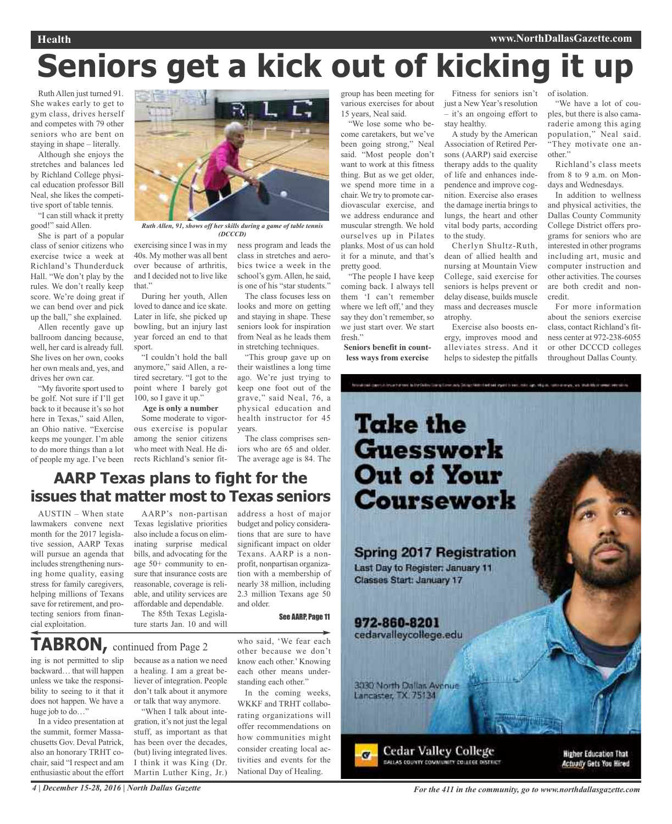#### **Health www.NorthDallasGazette.com**

# **Seniors get a kick out of kicking it up**

Ruth Allen just turned 91. She wakes early to get to gym class, drives herself and competes with 79 other seniors who are bent on staying in shape – literally.

Although she enjoys the stretches and balances led by Richland College physical education professor Bill Neal, she likes the competitive sport of table tennis.

"I can still whack it pretty good!" said Allen.

She is part of a popular class of senior citizens who exercise twice a week at Richland's Thunderduck Hall. "We don't play by the rules. We don't really keep score. We're doing great if we can bend over and pick up the ball," she explained.

Allen recently gave up ballroom dancing because, well, her card is already full. She lives on her own, cooks her own meals and, yes, and drives her own car.

"My favorite sport used to be golf. Not sure if I'll get back to it because it's so hot here in Texas," said Allen, an Ohio native. "Exercise keeps me younger. I'm able to do more things than a lot of people my age. I've been



*Ruth Allen, 91, shows off her skills during a game of table tennis (DCCCD)*

exercising since I was in my 40s. My mother was all bent over because of arthritis, and I decided not to live like that"

During her youth, Allen loved to dance and ice skate. Later in life, she picked up bowling, but an injury last year forced an end to that sport.

"I couldn't hold the ball anymore," said Allen, a retired secretary. "I got to the point where I barely got 100, so I gave it up."

**Age is only a number**

Some moderate to vigorous exercise is popular among the senior citizens who meet with Neal. He directs Richland's senior fitness program and leads the class in stretches and aerobics twice a week in the school's gym.Allen, he said, is one of his "star students."

The class focuses less on looks and more on getting and staying in shape. These seniors look for inspiration from Neal as he leads them in stretching techniques.

"This group gave up on their waistlines a long time ago. We're just trying to keep one foot out of the grave," said Neal, 76, a physical education and health instructor for 45 years.

The class comprises seniors who are 65 and older. The average age is 84. The

address a host of major budget and policy considerations that are sure to have significant impact on older Texans. AARP is a nonprofit, nonpartisan organization with a membership of nearly 38 million, including 2.3 million Texans age 50 group has been meeting for various exercises for about 15 years, Neal said. "We lose some who be-

come caretakers, but we've been going strong," Neal said. "Most people don't want to work at this fitness thing. But as we get older, we spend more time in a chair. We try to promote cardiovascular exercise, and we address endurance and muscular strength. We hold ourselves up in Pilates planks. Most of us can hold it for a minute, and that's pretty good.

"The people I have keep coming back. I always tell them 'I can't remember where we left off,' and they say they don't remember, so we just start over. We start fresh."

**Seniors benefit in countless ways from exercise**

Fitness for seniors isn't just a New Year's resolution – it's an ongoing effort to stay healthy.

A study by the American Association of Retired Persons (AARP) said exercise therapy adds to the quality of life and enhances independence and improve cognition. Exercise also erases the damage inertia brings to lungs, the heart and other vital body parts, according to the study.

Cherlyn Shultz-Ruth, dean of allied health and nursing at Mountain View College, said exercise for seniors is helps prevent or delay disease, builds muscle mass and decreases muscle atrophy.

Exercise also boosts energy, improves mood and alleviates stress. And it helps to sidestep the pitfalls

of isolation.

"We have a lot of couples, but there is also camaraderie among this aging population," Neal said. "They motivate one another."

Richland's class meets from 8 to 9 a.m. on Mondays and Wednesdays.

In addition to wellness and physical activities, the Dallas County Community College District offers programs for seniors who are interested in other programs including art, music and computer instruction and other activities. The courses are both credit and noncredit.

For more information about the seniors exercise class, contact Richland's fitness center at 972-238-6055 or other DCCCD colleges throughout Dallas County.



## **AARP Texas plans to fight for the issues that matter most to Texas seniors**

AUSTIN – When state lawmakers convene next month for the 2017 legislative session, AARP Texas will pursue an agenda that includes strengthening nursing home quality, easing stress for family caregivers, helping millions of Texans save for retirement, and protecting seniors from financial exploitation.

AARP's non-partisan Texas legislative priorities also include a focus on eliminating surprise medical bills, and advocating for the age 50+ community to ensure that insurance costs are reasonable, coverage is reliable, and utility services are affordable and dependable.

The 85th Texas Legislature starts Jan. 10 and will

**TABRON,** continued from Page <sup>2</sup>

ing is not permitted to slip backward… that will happen unless we take the responsibility to seeing to it that it does not happen. We have a huge job to do..."

In a video presentation at the summit, former Massachusetts Gov. Deval Patrick, also an honorary TRHT cochair, said "I respect and am enthusiastic about the effort

because as a nation we need a healing. I am a great believer of integration. People don't talk about it anymore or talk that way anymore. "When I talk about inte-

gration, it's not just the legal stuff, as important as that has been over the decades, (but) living integrated lives. I think it was King (Dr. Martin Luther King, Jr.) who said, 'We fear each other because we don't know each other.' Knowing each other means understanding each other."

See AARP, Page 11

and older.

In the coming weeks, WKKF and TRHT collaborating organizations will offer recommendations on how communities might consider creating local activities and events for the National Day of Healing.

4 | December 15-28, 2016 | North Dallas Gazette com

**Actually Gets You Hired**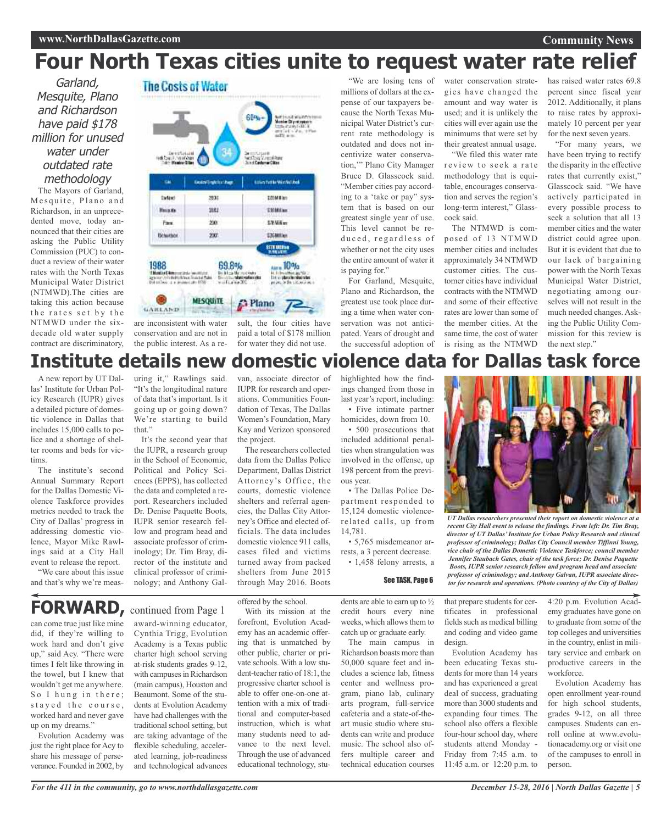#### **Community News**

# **Four North Texas cities unite to request water rate relief**

Garland, Mesquite, Plano and Richardson have paid \$178 million for unused water under outdated rate methodology The Mayors of Garland,

Mesquite, Plano and Richardson, in an unprecedented move, today announced that their cities are asking the Public Utility Commission (PUC) to conduct a review of their water rates with the North Texas Municipal Water District (NTMWD).The cities are taking this action because the rates set by the NTMWD under the sixdecade old water supply contract are discriminatory,



are inconsistent with water conservation and are not in the public interest. As a re-

sult, the four cities have paid a total of \$178 million for water they did not use.

millions of dollars at the expense of our taxpayers because the North Texas Municipal Water District's current rate methodology is outdated and does not incentivize water conservation,'" Plano City Manager Bruce D. Glasscock said. "Member cities pay according to a 'take or pay" system that is based on our greatest single year of use. This level cannot be reduced, regardless of whether or not the city uses the entire amount of water it is paying for."

For Garland, Mesquite, Plano and Richardson, the greatest use took place during a time when water conservation was not anticipated. Years of drought and the successful adoption of

"We are losing tens of water conservation strategies have changed the amount and way water is used; and it is unlikely the cities will ever again use the minimums that were set by their greatest annual usage.

"We filed this water rate review to seek a rate methodology that is equitable, encourages conservation and serves the region's long-term interest," Glasscock said.

The NTMWD is composed of 13 NTMWD member cities and includes approximately 34 NTMWD customer cities. The customer cities have individual contracts with the NTMWD and some of their effective rates are lower than some of the member cities. At the same time, the cost of water is rising as the NTMWD

has raised water rates 69.8 percent since fiscal year 2012. Additionally, it plans to raise rates by approximately 10 percent per year for the next seven years.

"For many years, we have been trying to rectify the disparity in the effective rates that currently exist," Glasscock said. "We have actively participated in every possible process to seek a solution that all 13 member cities and the water district could agree upon. But it is evident that due to our lack of bargaining power with the North Texas Municipal Water District, negotiating among ourselves will not result in the much needed changes. Asking the Public Utility Commission for this review is the next step."

# **Institute details new domestic violence data for Dallas task force**

A new report by UT Dallas' Institute for Urban Policy Research (IUPR) gives a detailed picture of domestic violence in Dallas that includes 15,000 calls to police and a shortage of shelter rooms and beds for victims.

The institute's second Annual Summary Report for the Dallas Domestic Violence Taskforce provides metrics needed to track the City of Dallas' progress in addressing domestic violence, Mayor Mike Rawlings said at a City Hall event to release the report.

"We care about this issue and that's why we're meas-

#### uring it," Rawlings said. "It's the longitudinal nature of data that's important. Is it going up or going down? We're starting to build that<sup>"</sup>

It's the second year that the IUPR, a research group in the School of Economic, Political and Policy Sciences (EPPS), has collected the data and completed a report. Researchers included Dr. Denise Paquette Boots, IUPR senior research fellow and program head and associate professor of criminology; Dr. Tim Bray, director of the institute and clinical professor of criminology; and Anthony Gal-

van, associate director of IUPR for research and operations. Communities Foundation of Texas, The Dallas Women's Foundation, Mary Kay and Verizon sponsored the project.

The researchers collected data from the Dallas Police Department, Dallas District Attorney's Office, the courts, domestic violence shelters and referral agencies, the Dallas City Attorney's Office and elected officials. The data includes domestic violence 911 calls, cases filed and victims turned away from packed shelters from June 2015 through May 2016. Boots

highlighted how the findings changed from those in last year's report, including: • Five intimate partner

homicides, down from 10. • 500 prosecutions that

included additional penalties when strangulation was involved in the offense, up 198 percent from the previous year.

• The Dallas Police Department responded to 15,124 domestic violencerelated calls, up from 14,781.

• 5,765 misdemeanor arrests, a 3 percent decrease. • 1,458 felony arrests, a



*UT Dallas researchers presented their report on domestic violence at a recent City Hall event to release the findings. From left: Dr. Tim Bray, director of UT Dallas'Institute for Urban Policy Research and clinical professor of criminology; Dallas City Council member Tiffinni Young, vice chair of the Dallas Domestic Violence Taskforce; council member Jennifer Staubach Gates, chair of the task force; Dr. Denise Paquette Boots, IUPR senior research fellow and program head and associate professor of criminology; and Anthony Galvan, IUPR associate direc-***See TASK, Page 6** *projessor of criminology; and Anthony Galvan, ICFK associate airections. (Photo courtesy of the City of Dallas)* 

# **FORWARD,** continued from Page <sup>1</sup>

can come true just like mine did, if they're willing to work hard and don't give up," said Acy. "There were times I felt like throwing in the towel, but I knew that wouldn't get me anywhere. So I hung in there; stayed the course, worked hard and never gave up on my dreams."

Evolution Academy was just the right place for Acy to share his message of perseverance. Founded in 2002, by

## award-winning educator, Cynthia Trigg, Evolution Academy is a Texas public charter high school serving

at-risk students grades 9-12, with campuses in Richardson (main campus), Houston and Beaumont. Some of the students at Evolution Academy have had challenges with the traditional school setting, but are taking advantage of the flexible scheduling, accelerated learning, job-readiness and technological advances offered by the school.

With its mission at the forefront, Evolution Academy has an academic offering that is unmatched by other public, charter or private schools. With a low student-teacher ratio of 18:1, the progressive charter school is able to offer one-on-one attention with a mix of traditional and computer-based instruction, which is what many students need to advance to the next level. Through the use of advanced educational technology, stu-

dents are able to earn up to ½ credit hours every nine weeks, which allows them to catch up or graduate early.

The main campus in Richardson boasts more than 50,000 square feet and includes a science lab, fitness center and wellness program, piano lab, culinary arts program, full-service cafeteria and a state-of-theart music studio where students can write and produce music. The school also offers multiple career and technical education courses

that prepare students for certificates in professional fields such as medical billing and coding and video game design.

Evolution Academy has been educating Texas students for more than 14 years and has experienced a great deal of success, graduating more than 3000 students and expanding four times. The school also offers a flexible four-hour school day, where students attend Monday - Friday from 7:45 a.m. to 11:45 a.m. or 12:20 p.m. to

4:20 p.m. Evolution Academy graduates have gone on to graduate from some of the top colleges and universities in the country, enlist in military service and embark on productive careers in the workforce.

Evolution Academy has open enrollment year-round for high school students, grades 9-12, on all three campuses. Students can enroll online at www.evolutionacademy.org or visit one of the campuses to enroll in person.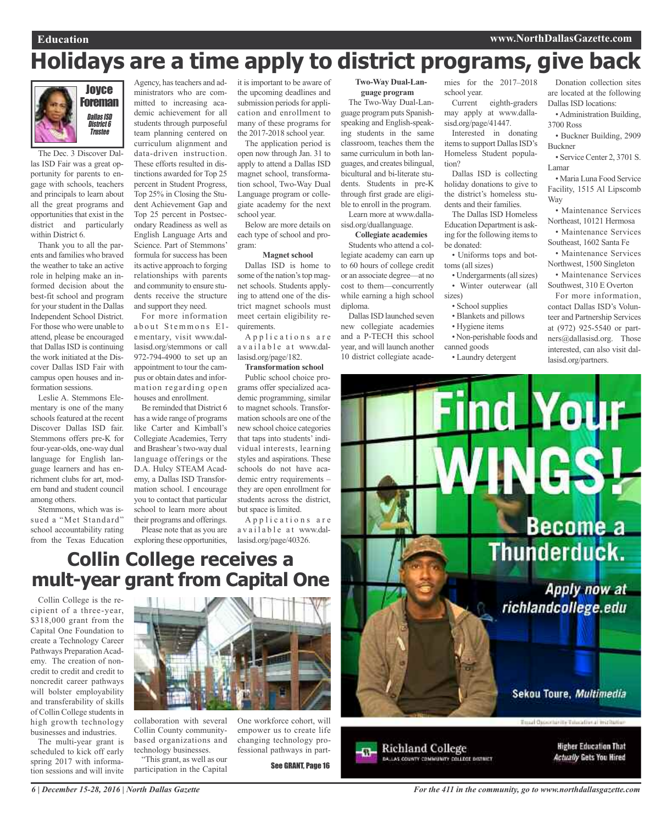# **Holidays are a time apply to district programs, give back**



The Dec. 3 Discover Dallas ISD Fair was a great opportunity for parents to engage with schools, teachers and principals to learn about all the great programs and opportunities that exist in the district and particularly within District 6.

Thank you to all the parents and families who braved the weather to take an active role in helping make an informed decision about the best-fit school and program for your student in the Dallas Independent School District. For those who were unable to attend, please be encouraged that Dallas ISD is continuing the work initiated at the Discover Dallas ISD Fair with campus open houses and information sessions.

Leslie A. Stemmons Elementary is one of the many schools featured at the recent Discover Dallas ISD fair. Stemmons offers pre-K for four-year-olds, one-way dual language for English language learners and has enrichment clubs for art, modern band and student council among others.

Stemmons, which was issued a "Met Standard" school accountability rating from the Texas Education

Agency, has teachers and administrators who are committed to increasing academic achievement for all students through purposeful team planning centered on curriculum alignment and data-driven instruction. These efforts resulted in distinctions awarded for Top 25 percent in Student Progress, Top 25% in Closing the Student Achievement Gap and Top 25 percent in Postsecondary Readiness as well as English Language Arts and Science. Part of Stemmons' formula for success has been its active approach to forging relationships with parents and community to ensure students receive the structure

and support they need. For more information about Stemmons Elementary, visit www.dallasisd.org/stemmons or call 972-794-4900 to set up an appointment to tour the campus or obtain dates and information regarding open houses and enrollment.

Be reminded that District 6 has a wide range of programs like Carter and Kimball's Collegiate Academies, Terry and Brashear's two-way dual language offerings or the D.A. Hulcy STEAM Academy, a Dallas ISD Transformation school. I encourage you to contact that particular school to learn more about their programs and offerings.

Please note that as you are exploring these opportunities, lasisd.org/page/40326.

it is important to be aware of the upcoming deadlines and submission periods for application and enrollment to many of these programs for the 2017-2018 school year.

The application period is open now through Jan. 31 to apply to attend a Dallas ISD magnet school, transformation school, Two-Way Dual Language program or collegiate academy for the next school year.

Below are more details on each type of school and program:

#### **Magnet school**

Dallas ISD is home to some of the nation's top magnet schools. Students applying to attend one of the district magnet schools must meet certain eligibility requirements.

Applications are a v a i l a b l e a t www.dallasisd.org/page/182.

#### **Transformation school**

Public school choice programs offer specialized academic programming, similar to magnet schools. Transformation schools are one of the new school choice categories that taps into students' individual interests, learning styles and aspirations. These schools do not have academic entry requirements – they are open enrollment for students across the district, but space is limited.

Applications are a v a i l a b l e a t www.dal-

**Collin College receives a mult-year grant from Capital One**

Collin College is the recipient of a three-year, \$318,000 grant from the Capital One Foundation to create a Technology Career Pathways Preparation Academy. The creation of noncredit to credit and credit to noncredit career pathways will bolster employability and transferability of skills of Collin College students in high growth technology businesses and industries.

The multi-year grant is scheduled to kick off early spring 2017 with information sessions and will invite



collaboration with several Collin County communitybased organizations and technology businesses. "This grant, as well as our

participation in the Capital

One workforce cohort, will empower us to create life changing technology professional pathways in part-

See GRANT, Page 16

**Two-Way Dual-Language program**

The Two-Way Dual-Language program puts Spanishspeaking and English-speaking students in the same classroom, teaches them the same curriculum in both languages, and creates bilingual, bicultural and bi-literate students. Students in pre-K through first grade are eligible to enroll in the program. Learn more at www.dallasisd.org/duallanguage.

**Collegiate academies**

Students who attend a collegiate academy can earn up to 60 hours of college credit or an associate degree—at no cost to them—concurrently while earning a high school diploma.

Dallas ISD launched seven new collegiate academies and a P-TECH this school year, and will launch another 10 district collegiate academies for the 2017–2018 school year. Current eighth-graders

may apply at www.dallasisd.org/page/41447. Interested in donating

items to support Dallas ISD's Homeless Student population?

Dallas ISD is collecting holiday donations to give to the district's homeless students and their families.

The Dallas ISD Homeless Education Department is asking for the following itemsto be donated:

• Uniforms tops and bottoms (all sizes)

- Undergarments (all sizes)
- Winter outerwear (all sizes)
	- School supplies
	- Blankets and pillows
- Hygiene items
- Non-perishable foods and

canned goods • Laundry detergent

Donation collection sites are located at the following Dallas ISD locations:

• Administration Building, 3700 Ross

• Buckner Building, 2909 Buckner

• Service Center 2, 3701 S. Lamar

• Maria Luna Food Service Facility, 1515 Al Lipscomb Way

• Maintenance Services Northeast, 10121 Hermosa • Maintenance Services

Southeast, 1602 Santa Fe

• Maintenance Services Northwest, 1500 Singleton

• Maintenance Services Southwest, 310 E Overton

For more information, contact Dallas ISD's Volunteer and Partnership Services at (972) 925-5540 or partners@dallasisd.org. Those interested, can also visit dallasisd.org/partners.

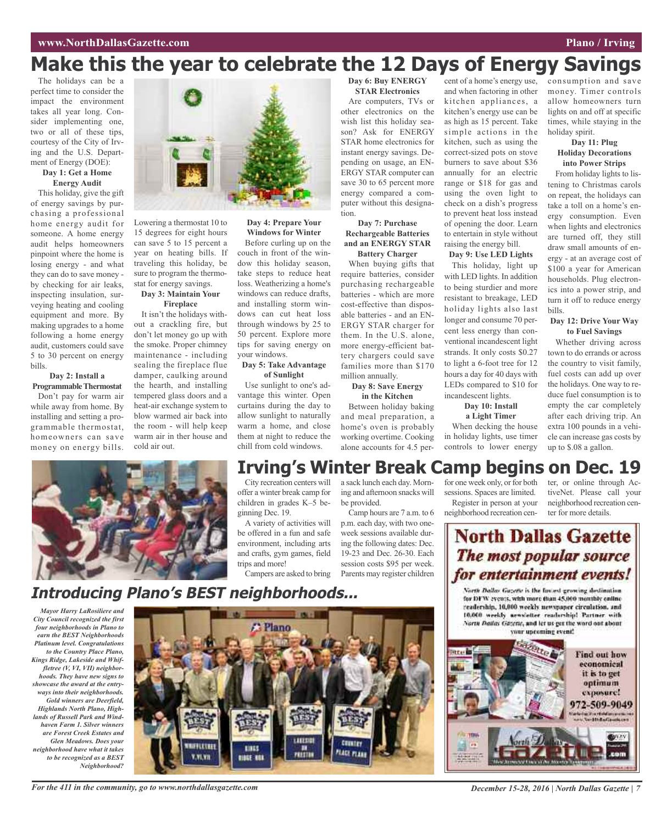# **Make this the year to celebrate the 12 Days of Energy Savings**

The holidays can be a perfect time to consider the impact the environment takes all year long. Consider implementing one, two or all of these tips, courtesy of the City of Irving and the U.S. Department of Energy (DOE):

#### **Day 1: Get a Home Energy Audit**

This holiday, give the gift of energy savings by purchasing a professional home energy audit for someone. A home energy audit helps homeowners pinpoint where the home is losing energy - and what they can do to save money by checking for air leaks, inspecting insulation, surveying heating and cooling equipment and more. By making upgrades to a home following a home energy audit, customers could save 5 to 30 percent on energy bills.

#### **Day 2: Install a ProgrammableThermostat**

Don't pay for warm air while away from home. By installing and setting a programmable thermostat, homeowners can save money on energy bills.



Lowering a thermostat 10 to 15 degrees for eight hours can save 5 to 15 percent a year on heating bills. If traveling this holiday, be sure to program the thermostat for energy savings.

#### **Day 3: Maintain Your Fireplace**

It isn't the holidays without a crackling fire, but don't let money go up with the smoke. Proper chimney maintenance - including sealing the fireplace flue damper, caulking around the hearth, and installing tempered glass doors and a heat-air exchange system to blow warmed air back into the room - will help keep warm air in ther house and cold air out.



Before curling up on the couch in front of the window this holiday season, take steps to reduce heat loss. Weatherizing a home's windows can reduce drafts, and installing storm windows can cut heat loss through windows by 25 to 50 percent. Explore more tips for saving energy on your windows.

#### **Day 5: Take Advantage of Sunlight**

Use sunlight to one's advantage this winter. Open curtains during the day to allow sunlight to naturally warm a home, and close them at night to reduce the chill from cold windows.

#### **Day 6: Buy ENERGY STAR Electronics**

Are computers, TVs or other electronics on the wish list this holiday season? Ask for ENERGY STAR home electronics for instant energy savings. Depending on usage, an EN-ERGY STAR computer can save 30 to 65 percent more energy compared a computer without this designation.

#### **Day 7: Purchase Rechargeable Batteries and an ENERGY STAR Battery Charger**

When buying gifts that require batteries, consider purchasing rechargeable batteries - which are more cost-effective than disposable batteries - and an EN-ERGY STAR charger for them. In the U.S. alone, more energy-efficient battery chargers could save families more than \$170 million annually.

### **Day 8: Save Energy**

**in the Kitchen** Between holiday baking and meal preparation, a home's oven is probably working overtime. Cooking alone accounts for 4.5 percent of a home's energy use, and when factoring in other kitchen appliances, a kitchen's energy use can be as high as 15 percent. Take simple actions in the kitchen, such as using the correct-sized pots on stove burners to save about \$36 annually for an electric range or \$18 for gas and using the oven light to check on a dish's progress to prevent heat loss instead of opening the door. Learn to entertain in style without raising the energy bill.

#### **Day 9: Use LED Lights**

This holiday, light up with LED lights. In addition to being sturdier and more resistant to breakage, LED holiday lights also last longer and consume 70 percent less energy than conventional incandescent light strands. It only costs \$0.27 to light a 6-foot tree for 12 hours a day for 40 days with LEDs compared to \$10 for incandescent lights.

#### **Day 10: Install**

**a Light Timer** When decking the house in holiday lights, use timer controls to lower energy

consumption and save money. Timer controls allow homeowners turn lights on and off at specific times, while staying in the holiday spirit.

# **Day 11: Plug**

on repeat, the holidays can take a toll on a home's energy consumption. Even when lights and electronics are turned off, they still draw small amounts of energy - at an average cost of \$100 a year for American households. Plug electronics into a power strip, and turn it off to reduce energy bills.

#### **Day 12: Drive Your Way to Fuel Savings**

Whether driving across town to do errands or across the country to visit family, fuel costs can add up over the holidays. One way to reduce fuel consumption is to empty the car completely after each driving trip. An extra 100 pounds in a vehicle can increase gas costs by up to \$.08 a gallon.



# **Irving's Winter Break Camp begins on Dec. 19**

City recreation centers will offer a winter break camp for children in grades K–5 be-

A variety of activities will be offered in a fun and safe environment, including arts and crafts, gym games, field

Campers are asked to bring

a sack lunch each day. Morning and afternoon snacks will be provided.

Camp hours are 7 a.m. to 6 p.m. each day, with two oneweek sessions available during the following dates: Dec. 19-23 and Dec. 26-30. Each session costs \$95 per week. Parents may register children

for one week only, or for both sessions. Spaces are limited. Register in person at your neighborhood recreation cen-

ter, or online through ActiveNet. Please call your neighborhood recreation center for more details.

# **North Dallas Gazette** The most popular source for entertainment events!

North Dallas Gazette is the fastest growing destination. for DFW events, with more than 45,000 monthly enline readership, 10,000 weekly newspaper circulation, and 10.000 weekly aeweletter readership! Partner with North Dailas Gazene, and let us get the word out about your upcoming event!



#### **Holiday Decorations into Power Strips** From holiday lights to listening to Christmas carols

ginning Dec. 19. trips and more!

# **Introducing Plano's BEST neighborhoods...**

*Mayor Harry LaRosiliere and City Council recognized the first four neighborhoods in Plano to earn the BEST Neighborhoods Platinum level. Congratulations to the Country Place Plano, Kings Ridge, Lakeside and Whiffletree (V, VI, VII) neighborhoods. They have new signs to showcase the award at the entryways into their neighborhoods. Gold winners are Deerfield, Highlands North Plano, Highlands of Russell Park and Windhaven Farm 1. Silver winners are Forest Creek Estates and Glen Meadows. Does your neighborhood have what it takes to be recognized as a BEST Neighborhood?*

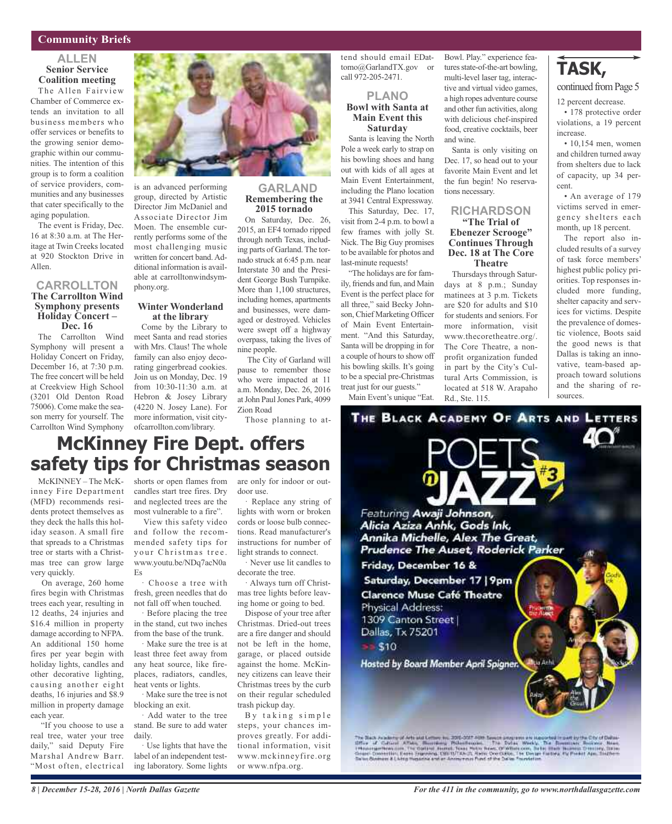#### **Community Briefs**

#### **ALLEN Senior Service Coalition meeting**

The Allen Fairview Chamber of Commerce extends an invitation to all business members who offer services or benefits to the growing senior demographic within our communities. The intention of this group is to form a coalition of service providers, communities and any businesses that cater specifically to the aging population.

The event is Friday, Dec. 16 at 8:30 a.m. at The Heritage at Twin Creeks located at 920 Stockton Drive in Allen.

#### **CARROLLTON The Carrollton Wind Symphony presents Holiday Concert – Dec. <sup>16</sup>**

The Carrollton Wind Symphony will present a Holiday Concert on Friday, December 16, at 7:30 p.m. The free concert will be held at Creekview High School (3201 Old Denton Road 75006). Come make the season merry for yourself. The Carrollton Wind Symphony



is an advanced performing group, directed by Artistic Director Jim McDaniel and Associate Director Jim Moen. The ensemble currently performs some of the most challenging music written for concert band.Additional information is available at carrolltonwindsymphony.org.

#### **Winter Wonderland at the library**

Come by the Library to meet Santa and read stories with Mrs. Claus! The whole family can also enjoy decorating gingerbread cookies. Join us on Monday, Dec. 19 from 10:30-11:30 a.m. at Hebron & Josey Library (4220 N. Josey Lane). For more information, visit cityofcarrollton.com/library.

# **GARLAND Remembering the**

**2015 tornado** On Saturday, Dec. 26, 2015, an EF4 tornado ripped through north Texas, including parts of Garland. The tornado struck at 6:45 p.m. near Interstate 30 and the President George Bush Turnpike. More than 1,100 structures, including homes, apartments and businesses, were damaged or destroyed. Vehicles were swept off a highway overpass, taking the lives of nine people.

The City of Garland will pause to remember those who were impacted at 11 a.m. Monday, Dec. 26, 2016 at John Paul Jones Park, 4099 Zion Road

Those planning to at-

#### tend should email EDattomo@GarlandTX.gov or call 972-205-2471.

#### **PLANO Bowl with Santa at Main Event this Saturday**

Santa is leaving the North Pole a week early to strap on his bowling shoes and hang out with kids of all ages at Main Event Entertainment, including the Plano location at 3941 Central Expressway.

This Saturday, Dec. 17, visit from 2-4 p.m. to bowl a few frames with jolly St. Nick. The Big Guy promises to be available for photos and last-minute requests!

"The holidays are for family, friends and fun, and Main Event is the perfect place for all three," said Becky Johnson, Chief Marketing Officer of Main Event Entertainment. "And this Saturday, Santa will be dropping in for a couple of hours to show off his bowling skills. It's going to be a special pre-Christmas treat just for our guests."

Main Event's unique "Eat.

Bowl. Play." experience features state-of-the-art bowling, multi-level laser tag, interactive and virtual video games, a high ropes adventure course and other fun activities, along with delicious chef-inspired food, creative cocktails, beer and wine.

Santa is only visiting on Dec. 17, so head out to your favorite Main Event and let the fun begin! No reservations necessary.

#### **RICHARDSON "The Trial of Ebenezer Scrooge" Continues Through Dec. 18 at The Core Theatre**

Thursdays through Saturdays at 8 p.m.; Sunday matinees at 3 p.m. Tickets are \$20 for adults and \$10 for students and seniors. For more information, visit www.thecoretheatre.org/. The Core Theatre, a nonprofit organization funded in part by the City's Cultural Arts Commission, is located at 518 W. Arapaho Rd., Ste. 115.

**TASK,**

#### continued fromPage 5

12 percent decrease.

• 178 protective order violations, a 19 percent increase.

• 10,154 men, women and children turned away from shelters due to lack of capacity, up 34 percent.

• An average of 179 victims served in emergency shelters each month, up 18 percent.

The report also included results of a survey of task force members' highest public policy priorities. Top responses included more funding, shelter capacity and services for victims. Despite the prevalence of domestic violence, Boots said the good news is that Dallas is taking an innovative, team-based approach toward solutions and the sharing of resources.

# **McKinney Fire Dept. offers safety tips for Christmas season**

McKINNEY – The McKinney Fire Department (MFD) recommends residents protect themselves as they deck the halls this holiday season. A small fire that spreads to a Christmas tree or starts with a Christmas tree can grow large very quickly.

On average, 260 home fires begin with Christmas trees each year, resulting in 12 deaths, 24 injuries and \$16.4 million in property damage according to NFPA. An additional 150 home fires per year begin with holiday lights, candles and other decorative lighting, causing another eight deaths, 16 injuries and \$8.9 million in property damage each year.

"If you choose to use a real tree, water your tree daily," said Deputy Fire Marshal Andrew Barr. "Most often, electrical

shorts or open flames from are only for indoor or outcandles start tree fires. Dry and neglected trees are the most vulnerable to a fire".

View this safety video and follow the recommended safety tips for your Christmas tree. www.youtu.be/NDq7acN0a  $Fe$ 

· Choose a tree with fresh, green needles that do not fall off when touched.

· Before placing the tree in the stand, cut two inches from the base of the trunk.

· Make sure the tree is at least three feet away from any heat source, like fireplaces, radiators, candles, heat vents or lights.

· Make sure the tree is not blocking an exit. · Add water to the tree

stand. Be sure to add water daily.

· Use lights that have the label of an independent testing laboratory. Some lights door use.

· Replace any string of lights with worn or broken cords or loose bulb connections. Read manufacturer's instructions for number of light strands to connect.

· Never use lit candles to decorate the tree.

· Always turn off Christmas tree lights before leaving home or going to bed.

Dispose of your tree after Christmas. Dried-out trees are a fire danger and should not be left in the home, garage, or placed outside against the home. McKinney citizens can leave their Christmas trees by the curb on their regular scheduled trash pickup day.

By taking simple steps, your chances improves greatly. For additional information, visit www.mckinneyfire.org or www.nfpa.org.

THE BLACK ACADEMY OF ARTS AND LETTERS Featuring Awaji Johnson, Alicia Aziza Anhk, Gods Ink, Annika Michelle, Alex The Great, Prudence The Auset, Roderick Parker Friday, December 16 & Saturday, December 17 | 9pm **Clarence Muse Café Theatre** Physical Address: 1309 Canton Street Dallas, Tx 75201  $= 510$ Hosted by Board Member April Spigner. Have

The Shack conducts of Arts and Letters by 2001-2027 First Senate programs are interacted in part by the City of Dalma<br>Affine Aff Cultural ATMs, Bluestiness Philad Instant The Datas, Weekly, The Romanova Booksen, New York (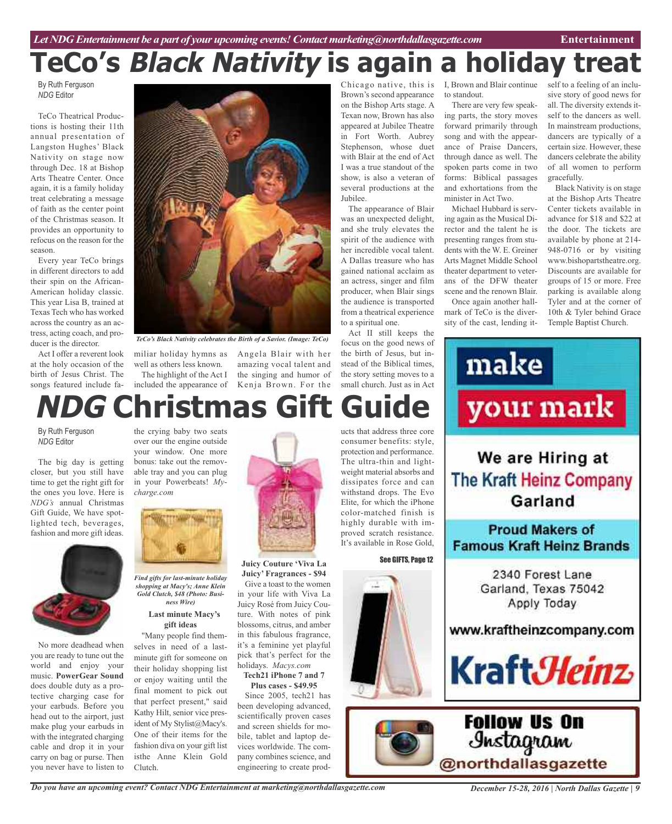# **TeCo's Black Nativity is again a holiday treat**

By Ruth Ferguson *NDG* Editor

TeCo Theatrical Productions is hosting their 11th annual presentation of Langston Hughes' Black Nativity on stage now through Dec. 18 at Bishop Arts Theatre Center. Once again, it is a family holiday treat celebrating a message of faith as the center point of the Christmas season. It provides an opportunity to refocus on the reason for the season.

Every year TeCo brings in different directors to add their spin on the African-American holiday classic. This year Lisa B, trained at Texas Tech who has worked across the country as an actress, acting coach, and producer is the director.

Act I offer a reverent look at the holy occasion of the birth of Jesus Christ. The songs featured include fa-



*TeCo's Black Nativity celebrates the Birth of a Savior. (Image: TeCo)*

miliar holiday hymns as Angela Blair with her well as others less known. The highlight of the Act I

included the appearance of Kenja Brown. For the amazing vocal talent and the singing and humor of

# ucts that address three core **NDG Christmas Gift Guide**

By Ruth Ferguson *NDG* Editor

The big day is getting closer, but you still have time to get the right gift for the ones you love. Here is *NDG's* annual Christmas Gift Guide, We have spotlighted tech, beverages, fashion and more gift ideas.



No more deadhead when you are ready to tune out the world and enjoy your music. **PowerGear Sound** does double duty as a protective charging case for your earbuds. Before you head out to the airport, just make plug your earbuds in with the integrated charging cable and drop it in your carry on bag or purse. Then you never have to listen to

the crying baby two seats over our the engine outside your window. One more bonus: take out the removable tray and you can plug in your Powerbeats! *Mycharge.com*



*Find gifts for last-minute holiday shopping at Macy's; Anne Klein Gold Clutch, \$48 (Photo: Business Wire)*

#### **Last minute Macy's gift ideas**

"Many people find themselves in need of a lastminute gift for someone on their holiday shopping list or enjoy waiting until the final moment to pick out that perfect present," said Kathy Hilt, senior vice president of My Stylist@Macy's. One of their items for the fashion diva on your gift list isthe Anne Klein Gold Clutch.



**Juicy Couture 'Viva La Juicy' Fragrances - \$94**

Give a toast to the women in your life with Viva La Juicy Rosé from Juicy Couture. With notes of pink blossoms, citrus, and amber in this fabulous fragrance, it's a feminine yet playful pick that's perfect for the holidays. *Macys.com*

**Tech21 iPhone 7 and 7 Plus cases - \$49.95**

Since 2005, tech21 has been developing advanced, scientifically proven cases and screen shields for mobile, tablet and laptop devices worldwide. The company combines science, and engineering to create prod-

Chicago native, this is Brown's second appearance on the Bishop Arts stage. A Texan now, Brown has also appeared at Jubilee Theatre in Fort Worth. Aubrey Stephenson, whose duet with Blair at the end of Act I was a true standout of the show, is also a veteran of several productions at the Jubilee.

The appearance of Blair was an unexpected delight, and she truly elevates the spirit of the audience with her incredible vocal talent. A Dallas treasure who has gained national acclaim as an actress, singer and film producer, when Blair sings the audience is transported from a theatrical experience to a spiritual one.

Act II still keeps the focus on the good news of the birth of Jesus, but instead of the Biblical times, the story setting moves to a small church. Just as in Act

The ultra-thin and lightweight material absorbs and

proved scratch resistance. It's available in Rose Gold,

See GIFTS, Page 12

I, Brown and Blair continue to standout.

There are very few speaking parts, the story moves forward primarily through song and with the appearance of Praise Dancers, through dance as well. The spoken parts come in two forms: Biblical passages and exhortations from the minister in Act Two.

Michael Hubbard is serving again as the Musical Director and the talent he is presenting ranges from students with the W. E. Greiner Arts Magnet Middle School theater department to veterans of the DFW theater scene and the renown Blair. Once again another hall-

mark of TeCo is the diversity of the cast, lending itself to a feeling of an inclusive story of good news for all. The diversity extends itself to the dancers as well. In mainstream productions, dancers are typically of a certain size. However, these dancers celebrate the ability of all women to perform gracefully.

Black Nativity is on stage at the Bishop Arts Theatre Center tickets available in advance for \$18 and \$22 at the door. The tickets are available by phone at 214- 948-0716 or by visiting www.bishopartstheatre.org. Discounts are available for groups of 15 or more. Free parking is available along Tyler and at the corner of 10th & Tyler behind Grace Temple Baptist Church.



*Do you have an upcoming event? Contact NDG Entertainment at marketing@northdallasgazette.com*

*December 15-28, 2016 | North Dallas Gazette | 9*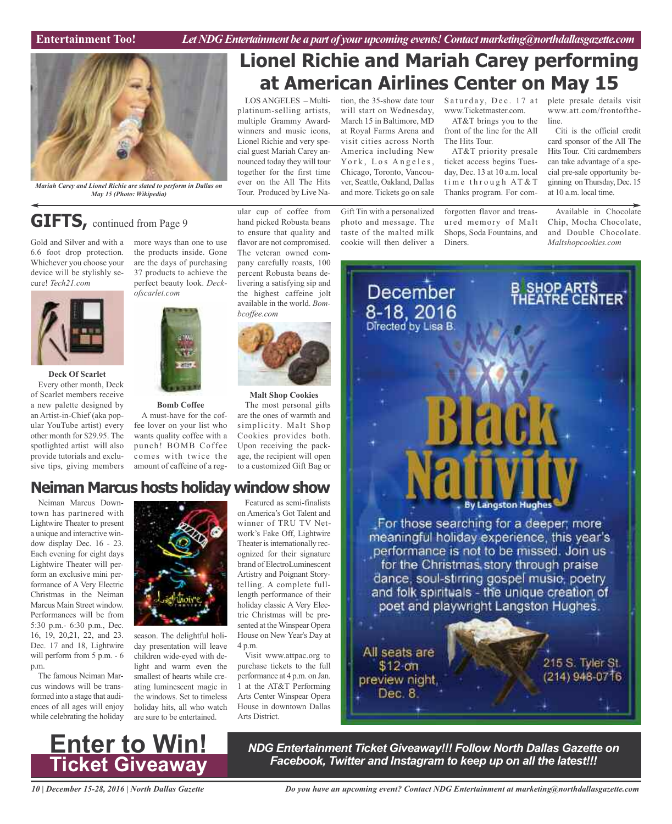

*Mariah Carey and Lionel Richie are slated to perform in Dallas on May 15 (Photo: Wikipedia)*

# **GIFTS**, continued from Page 9

Gold and Silver and with a 6.6 foot drop protection. Whichever you choose your device will be stylishly secure! *Tech21.com*



**Deck Of Scarlet** Every other month, Deck of Scarlet members receive a new palette designed by an Artist-in-Chief (aka popular YouTube artist) every other month for \$29.95. The spotlighted artist will also provide tutorials and exclusive tips, giving members

more ways than one to use the products inside. Gone are the days of purchasing 37 products to achieve the perfect beauty look. *Deckofscarlet.com*



#### **Bomb Coffee**

A must-have for the coffee lover on your list who wants quality coffee with a punch! BOMB Coffee comes with twice the amount of caffeine of a regThe veteran owned company carefully roasts, 100 percent Robusta beans delivering a satisfying sip and the highest caffeine jolt available in the world. *Bombcoffee.com*

ular cup of coffee from hand picked Robusta beans to ensure that quality and flavor are not compromised.



**Malt Shop Cookies**

The most personal gifts are the ones of warmth and simplicity. Malt Shop Cookies provides both. Upon receiving the package, the recipient will open to a customized Gift Bag or

## **Neiman Marcus hosts holiday window show**

Neiman Marcus Downtown has partnered with Lightwire Theater to present a unique and interactive window display Dec. 16 - 23. Each evening for eight days Lightwire Theater will perform an exclusive mini performance of A Very Electric Christmas in the Neiman Marcus Main Street window. Performances will be from 5:30 p.m.- 6:30 p.m., Dec. 16, 19, 20,21, 22, and 23. Dec. 17 and 18, Lightwire will perform from 5 p.m. - 6 p.m.

The famous Neiman Marcus windows will be transformed into a stage that audiences of all ages will enjoy while celebrating the holiday



season. The delightful holiday presentation will leave children wide-eyed with delight and warm even the smallest of hearts while creating luminescent magic in the windows. Set to timeless holiday hits, all who watch are sure to be entertained.

Featured as semi-finalists on America's Got Talent and winner of TRU TV Network's Fake Off, Lightwire Theater is internationally recognized for their signature brand of ElectroLuminescent Artistry and Poignant Storytelling. A complete fulllength performance of their holiday classic A Very Electric Christmas will be presented at the Winspear Opera House on New Year's Day at 4 p.m.

Visit www.attpac.org to purchase tickets to the full performance at 4 p.m. on Jan. 1 at the AT&T Performing Arts Center Winspear Opera House in downtown Dallas Arts District.

# **Lionel Richie and Mariah Carey performing at American Airlines Center on May 15**

LOSANGELES – Multiplatinum-selling artists, multiple Grammy Awardwinners and music icons, Lionel Richie and very special guest Mariah Carey announced today they will tour together for the first time ever on the All The Hits Tour. Produced by Live Na-

tion, the 35-show date tour will start on Wednesday, March 15 in Baltimore, MD at Royal Farms Arena and visit cities across North America including New York, Los Angeles, Chicago, Toronto, Vancouver, Seattle, Oakland, Dallas and more. Tickets go on sale

Gift Tin with a personalized photo and message. The taste of the malted milk cookie will then deliver a

Saturday, Dec. 17 at www.Ticketmaster.com.

AT&T brings you to the front of the line for the All

The Hits Tour. AT&T priority presale ticket access begins Tuesday, Dec. 13 at 10 a.m. local time through  $AT&T$ Thanks program. For com-

forgotten flavor and treasured memory of Malt Shops, Soda Fountains, and Diners.

plete presale details visit www.att.com/frontoftheline.

Citi is the official credit card sponsor of the All The Hits Tour. Citi cardmembers can take advantage of a special pre-sale opportunity beginning onThursday, Dec. 15 at 10 a.m. local time.

Available in Chocolate Chip, Mocha Chocolate, and Double Chocolate. *Maltshopcookies.com*



**Enter to Win! Ticket Giveaway**

*NDG Entertainment Ticket Giveaway!!! Follow North Dallas Gazette on Facebook, Twitter and Instagram to keep up on all the latest!!!*

*10 | December 15-28, 2016 | North Dallas Gazette*

*Do you have an upcoming event? Contact NDG Entertainment at marketing@northdallasgazette.com*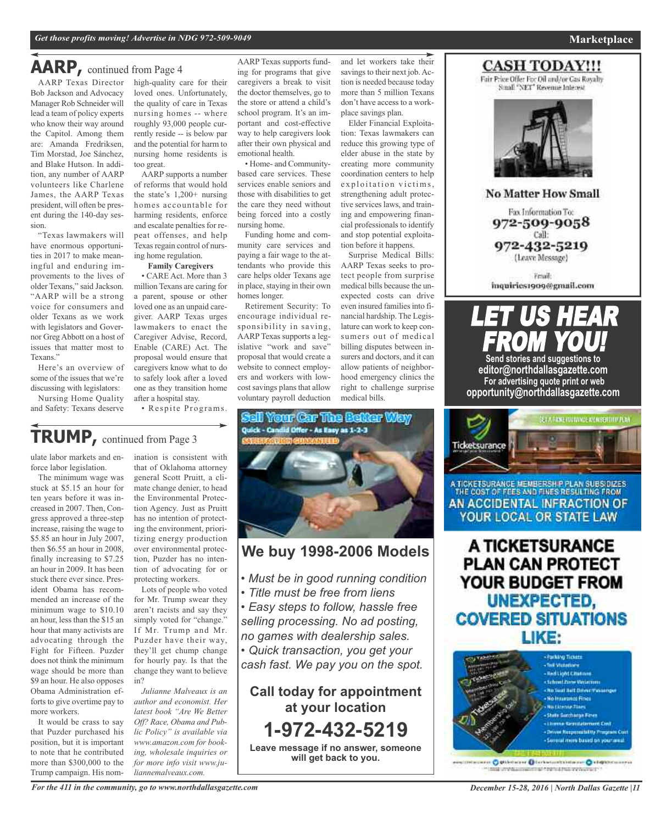### **AARP,** continued from Page <sup>4</sup>

AARP Texas Director Bob Jackson and Advocacy Manager Rob Schneider will lead a team of policy experts who know their way around the Capitol. Among them are: Amanda Fredriksen, Tim Morstad, Joe Sánchez, and Blake Hutson. In addition, any number of AARP volunteers like Charlene James, the AARP Texas president, will often be present during the 140-day session.

"Texas lawmakers will have enormous opportunities in 2017 to make meaningful and enduring improvements to the lives of older Texans," said Jackson. "AARP will be a strong voice for consumers and older Texans as we work with legislators and Governor GregAbbott on a host of issues that matter most to Texans."

Here's an overview of some of the issues that we're discussing with legislators:

Nursing Home Quality and Safety: Texans deserve

high-quality care for their loved ones. Unfortunately, the quality of care in Texas nursing homes -- where roughly 93,000 people currently reside -- is below par and the potential for harm to nursing home residents is too great.

AARP supports a number of reforms that would hold the state's 1,200+ nursing homes accountable for harming residents, enforce and escalate penalties for repeat offenses, and help Texas regain control of nursing home regulation.

#### **Family Caregivers**

• CARE Act. More than 3 million Texans are caring for a parent, spouse or other loved one as an unpaid caregiver. AARP Texas urges lawmakers to enact the Caregiver Advise, Record, Enable (CARE) Act. The proposal would ensure that caregivers know what to do to safely look after a loved one as they transition home after a hospital stay.

• Respite Programs.

AARP Texas supports funding for programs that give caregivers a break to visit the doctor themselves, go to the store or attend a child's school program. It's an important and cost-effective way to help caregivers look after their own physical and emotional health.

• Home- and Communitybased care services. These services enable seniors and those with disabilities to get the care they need without being forced into a costly nursing home.

Funding home and community care services and paying a fair wage to the attendants who provide this care helps older Texans age in place, staying in their own homes longer.

Retirement Security: To encourage individual responsibility in saving, AARP Texas supports a legislative "work and save" proposal that would create a website to connect employers and workers with lowcost savings plans that allow voluntary payroll deduction and let workers take their savings to their next job. Action is needed because today more than 5 million Texans don't have access to a workplace savings plan.

Elder Financial Exploitation: Texas lawmakers can reduce this growing type of elder abuse in the state by creating more community coordination centers to help exploitation victims, strengthening adult protective services laws, and training and empowering financial professionals to identify and stop potential exploitation before it happens.

Surprise Medical Bills: AARP Texas seeks to protect people from surprise medical bills because the unexpected costs can drive even insured families into financial hardship. The Legislature can work to keep consumers out of medical billing disputes between insurers and doctors, and it can allow patients of neighborhood emergency clinics the right to challenge surprise medical bills.

**CASH TODAY!!!** 

Fair Price Offer For Oil and/or Gas Royahy Small "NET" Revenue Interest



**No Matter How Small** 

Fax Information To: 972-509-9058 Call: 972-432-5219 (Leave Message)

Friail: inquiries1909@gmail.com

# LET US HEAR FROM YO **Send stories and suggestions to**

**editor@northdallasgazette.com For advertising quote print or web opportunity@northdallasgazette.com**



A TICKETSURANCE MEMBERSH P PLAN SUBSIDIZES THE COST OF FEES AND FINES RESULTING FROM AN ACCIDENTAL INFRACTION OF YOUR LOCAL OR STATE LAW

A TICKETSURANCE **PLAN CAN PROTECT** YOUR BUDGET FROM UNEXPECTED, **COVERED SITUATIONS** LIKE:



miscanno O quistarane O fortunumitamente O virginimismus million which contains the first state we have all

# **TRUMP,** continued from Page <sup>3</sup>

ulate labor markets and enforce labor legislation.

The minimum wage was stuck at \$5.15 an hour for ten years before it was increased in 2007. Then, Congress approved a three-step increase, raising the wage to \$5.85 an hour in July 2007, then \$6.55 an hour in 2008, finally increasing to \$7.25 an hour in 2009. It has been stuck there ever since. President Obama has recommended an increase of the minimum wage to \$10.10 an hour, less than the \$15 an hour that many activists are advocating through the Fight for Fifteen. Puzder does not think the minimum wage should be more than \$9 an hour. He also opposes Obama Administration efforts to give overtime pay to more workers.

It would be crass to say that Puzder purchased his position, but it is important to note that he contributed more than \$300,000 to the Trump campaign. His nomination is consistent with that of Oklahoma attorney general Scott Pruitt, a climate change denier, to head the Environmental Protection Agency. Just as Pruitt has no intention of protecting the environment, prioritizing energy production over environmental protection, Puzder has no intention of advocating for or protecting workers.

Lots of people who voted for Mr. Trump swear they aren't racists and say they simply voted for "change." If Mr. Trump and Mr. Puzder have their way, they'll get chump change for hourly pay. Is that the change they want to believe in?

*Julianne Malveaux is an author and economist. Her latest book "Are We Better Off? Race, Obama and Public Policy" is available via www.amazon.com for booking, wholesale inquiries or for more info visit www.juliannemalveaux.com.*



### **We buy 1998-2006 Models**

- *• Must be in good running condition*
- *• Title must be free from liens*
- *• Easy steps to follow, hassle free selling processing. No ad posting, no games with dealership sales.*

*• Quick transaction, you get your cash fast. We pay you on the spot.*

**Call today for appointment at your location 1-972-432-5219 Leave message if no answer, someone will get back to you.**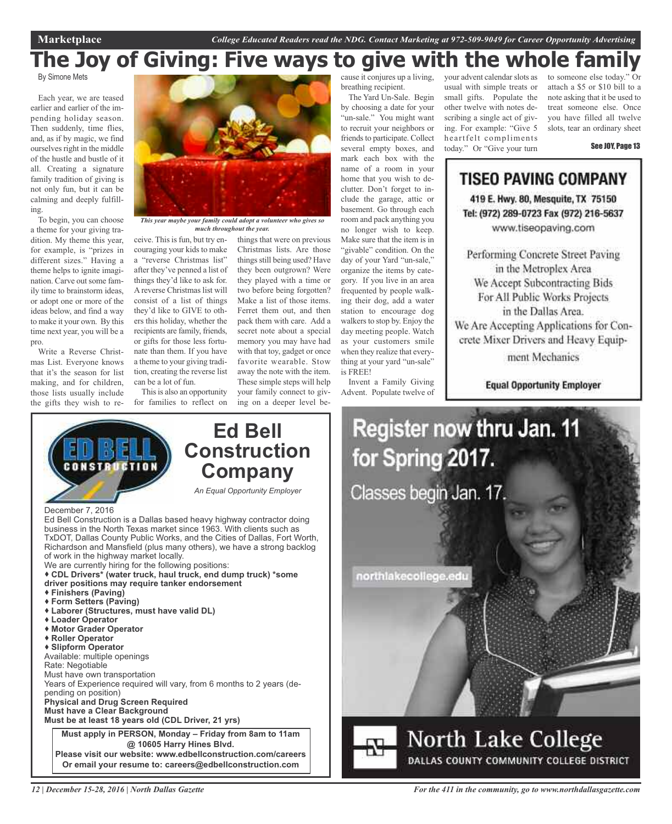# **The Joy of Giving: Five ways to give with the whole family**

By Simone Mets

Each year, we are teased earlier and earlier of the impending holiday season. Then suddenly, time flies, and, as if by magic, we find ourselves right in the middle of the hustle and bustle of it all. Creating a signature family tradition of giving is not only fun, but it can be calming and deeply fulfilling.

To begin, you can choose a theme for your giving tradition. My theme this year, for example, is "prizes in different sizes." Having a theme helps to ignite imagination. Carve out some family time to brainstorm ideas, or adopt one or more of the ideas below, and find a way to make it your own. By this time next year, you will be a pro.

Write a Reverse Christmas List. Everyone knows that it's the season for list making, and for children, those lists usually include the gifts they wish to re-



*This year maybe your family could adopt a volunteer who gives so much throughout the year.*

ceive. This is fun, but try encouraging your kids to make a "reverse Christmas list" after they've penned a list of things they'd like to ask for. A reverse Christmas list will consist of a list of things they'd like to GIVE to others this holiday, whether the recipients are family, friends, or gifts for those less fortunate than them. If you have a theme to your giving tradition, creating the reverse list can be a lot of fun.

This is also an opportunity for families to reflect on

things that were on previous Christmas lists. Are those things still being used? Have they been outgrown? Were they played with a time or two before being forgotten? Make a list of those items. Ferret them out, and then pack them with care. Add a secret note about a special memory you may have had with that toy, gadget or once favorite wearable. Stow away the note with the item. These simple steps will help your family connect to giving on a deeper level be-

cause it conjures up a living, breathing recipient.

The Yard Un-Sale. Begin by choosing a date for your "un-sale." You might want to recruit your neighbors or friends to participate. Collect several empty boxes, and mark each box with the name of a room in your home that you wish to declutter. Don't forget to include the garage, attic or basement. Go through each room and pack anything you no longer wish to keep. Make sure that the item is in "givable" condition. On the day of your Yard "un-sale," organize the items by category. If you live in an area frequented by people walking their dog, add a water station to encourage dog walkers to stop by. Enjoy the day meeting people. Watch as your customers smile when they realize that everything at your yard "un-sale" is FREE!

Invent a Family Giving Advent. Populate twelve of your advent calendarslots as usual with simple treats or small gifts. Populate the other twelve with notes describing a single act of giving. For example: "Give 5 heartfelt compliments today." Or "Give your turn

to someone else today." Or attach a \$5 or \$10 bill to a note asking that it be used to treat someone else. Once you have filled all twelve slots, tear an ordinary sheet

See JOY, Page 13

### **TISEO PAVING COMPANY** 419 E. Hwy. 80, Mesquite, TX 75150 Tel: (972) 289-0723 Fax (972) 216-5637 www.tiseopaving.com Performing Concrete Street Paving in the Metroplex Area We Accept Subcontracting Bids For All Public Works Projects in the Dallas Area. We Are Accepting Applications for Concrete Mixer Drivers and Heavy Equipment Mechanics

**Equal Opportunity Employer** 



DALLAS COUNTY COMMUNITY COLLEGE DISTRICT



- **Finishers (Paving)**
- **Form Setters (Paving)**
- **Laborer (Structures, must have valid DL)**
- **Loader Operator**
- **Motor Grader Operator**
- **Roller Operator**

**Slipform Operator**

Available: multiple openings

- Rate: Negotiable
- Must have own transportation

Years of Experience required will vary, from 6 months to 2 years (depending on position) **Physical and Drug Screen Required Must have a Clear Background**

**Must be at least 18 years old (CDL Driver, 21 yrs)**

**Must apply in PERSON, Monday – Friday from 8am to 11am @ 10605 Harry Hines Blvd. Please visit our website: www.edbellconstruction.com/careers Or email your resume to: careers@edbellconstruction.com**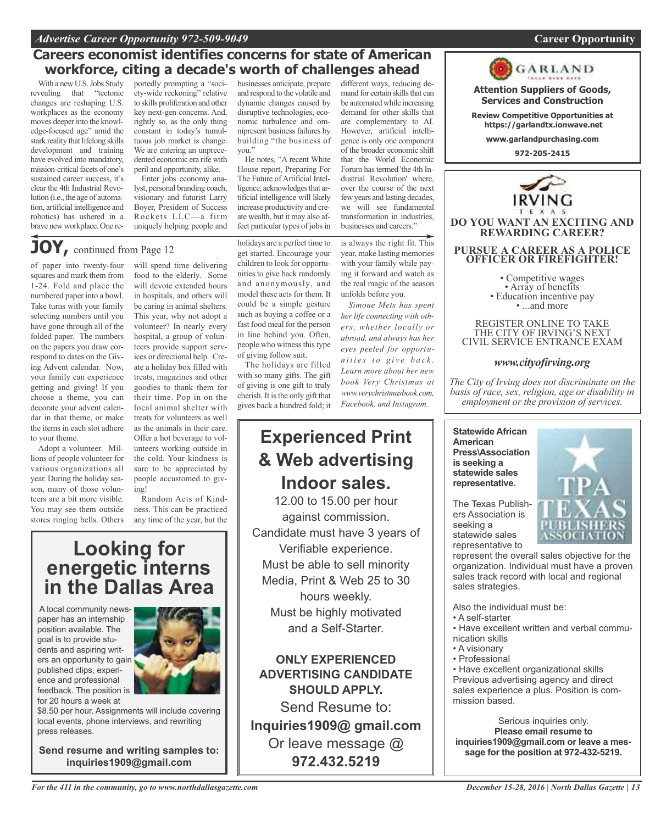#### *Advertise Career Opportunity 972-509-9049* **Career Opportunity**

### **Careers economist identifies concerns for state of American workforce, citing a decade's worth of challenges ahead**

With a new U.S. Jobs Study revealing that "tectonic changes are reshaping U.S. workplaces as the economy moves deeperinto the knowledge-focused age" amid the stark reality that lifelong skills development and training have evolved into mandatory, mission-critical facets of one's sustained career success, it's clear the 4th Industrial Revolution (i.e., the age of automation, artificial intelligence and robotics) has ushered in a brave new workplace. One reportedly prompting a "society-wide reckoning" relative to skills proliferation and other key next-gen concerns. And, rightly so, as the only thing constant in today's tumultuous job market is change. We are entering an unprecedented economic era rife with peril and opportunity, alike.

Enter jobs economy analyst, personal branding coach, visionary and futurist Larry Boyer, President of Success Rockets LLC—a firm uniquely helping people and

businesses anticipate, prepare and respond to the volatile and dynamic changes caused by disruptive technologies, economic turbulence and omnipresent business failures by building "the business of you."

He notes, "A recent White House report, Preparing For The Future of Artificial Intelligence, acknowledges that artificial intelligence will likely increase productivity and create wealth, but it may also affect particular types of jobs in

**JOY**, continued from Page 12

of paper into twenty-four squares and mark them from 1-24. Fold and place the numbered paper into a bowl. Take turns with your family selecting numbers until you have gone through all of the folded paper. The numbers on the papers you draw correspond to dates on the Giving Advent calendar. Now, your family can experience getting and giving! If you choose a theme, you can decorate your advent calendar in that theme, or make the items in each slot adhere to your theme.

Adopt a volunteer. Millions of people volunteer for various organizations all year. During the holiday season, many of those volunteers are a bit more visible. You may see them outside stores ringing bells. Others

will spend time delivering food to the elderly. Some will devote extended hours in hospitals, and others will be caring in animal shelters. This year, why not adopt a volunteer? In nearly every hospital, a group of volunteers provide support services or directional help. Create a holiday box filled with treats, magazines and other goodies to thank them for their time. Pop in on the local animal shelter with treats for volunteers as well as the animals in their care. Offer a hot beverage to volunteers working outside in the cold. Your kindness is sure to be appreciated by people accustomed to giving!

Random Acts of Kindness. This can be practiced any time of the year, but the

# **Looking for energetic interns in the Dallas Area**

A local community newspaper has an internship position available. The goal is to provide students and aspiring writers an opportunity to gain published clips, experience and professional feedback. The position is for 20 hours a week at



\$8.50 per hour. Assignments will include covering local events, phone interviews, and rewriting press releases.

**Send resume and writing samples to: inquiries1909@gmail.com**

holidays are a perfect time to get started. Encourage your children to look for opportunities to give back randomly and anonymously, and model these acts for them. It could be a simple gesture such as buying a coffee or a fast food meal for the person in line behind you. Often, people who witness this type of giving follow suit.

The holidays are filled with so many gifts. The gift of giving is one gift to truly cherish. It is the only gift that gives back a hundred fold; it

# **Experienced Print & Web advertising Indoor sales.**

12.00 to 15.00 per hour against commission. Candidate must have 3 years of Verifiable experience. Must be able to sell minority Media, Print & Web 25 to 30 hours weekly. Must be highly motivated and a Self-Starter.

**ONLY EXPERIENCED ADVERTISING CANDIDATE SHOULD APPLY.**

Send Resume to: **Inquiries1909@ gmail.com** Or leave message @ **972.432.5219**

different ways, reducing demand for certain skills that can be automatedwhile increasing demand for other skills that are complementary to AI. However, artificial intelligence is only one component of the broader economic shift that the World Economic Forum hastermed 'the 4th Industrial Revolution' where, over the course of the next few years and lasting decades, we will see fundamental transformation in industries, businesses and careers."

is always the right fit. This year, make lasting memories with your family while paying it forward and watch as the real magic of the season unfolds before you.

*Simone Mets has spent her life connecting with others, whether locally or abroad, and always has her eyes peeled for opportun i t i e s t o g i v e b a c k . Learn more about her new book Very Christmas at www.verychristmasbook.com, Facebook, and Instagram.*



The Texas Publishers Association is seeking a statewide sales representative to

**American**

represent the overall sales objective for the organization. Individual must have a proven sales track record with local and regional sales strategies.

Also the individual must be:

- A self-starter
- Have excellent written and verbal communication skills
- A visionary
- Professional

• Have excellent organizational skills Previous advertising agency and direct sales experience a plus. Position is commission based.

Serious inquiries only. **Please email resume to inquiries1909@gmail.com or leave a message for the position at 972-432-5219.**

#### **Attention Suppliers of Goods, Services and Construction**

**Review Competitive Opportunities at https://garlandtx.ionwave.net**

GARLAND

**www.garlandpurchasing.com**

**972-205-2415**



REGISTER ONLINE TO TAKE THE CITY OF IRVING'S NEXT CIVIL SERVICE ENTRANCE EXAM

#### *www.cityofirving.org*

*The City of Irving does not discriminate on the basis of race, sex, religion, age or disability in employment or the provision of services.*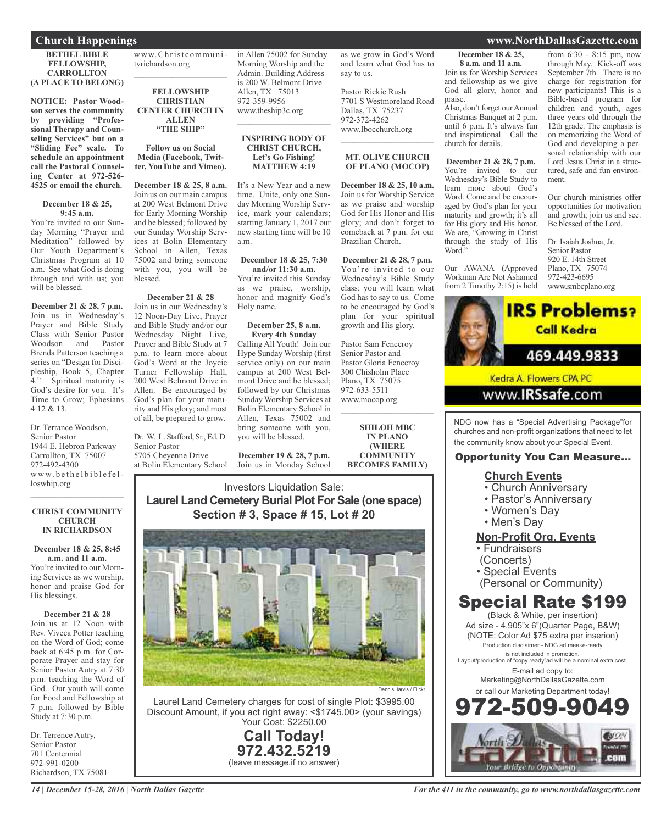**BETHEL BIBLE FELLOWSHIP, CARROLLTON (A PLACE TO BELONG)**

**NOTICE: Pastor Woodson serves the community by providing "Professional Therapy and Counseling Services" but on a "Sliding Fee" scale. To schedule an appointment call the Pastoral Counseling Center at 972-526- 4525 or email the church.**

#### **December 18 & 25, 9:45 a.m.**

You're invited to our Sunday Morning "Prayer and Meditation" followed by Our Youth Department's Christmas Program at 10 a.m. See what God is doing through and with us; you will be blessed.

**December 21 & 28, 7 p.m.** Join us in Wednesday's Prayer and Bible Study Class with Senior Pastor Woodson and Pastor Brenda Patterson teaching a series on "Design for Discipleship, Book 5, Chapter 4." Spiritual maturity is God's desire for you. It's Time to Grow; Ephesians 4:12 & 13.

Dr. Terrance Woodson, Senior Pastor 1944 E. Hebron Parkway Carrollton, TX 75007 972-492-4300 www.bethelbiblefelloswhip.org  $\mathcal{L}_\text{max}$  , where  $\mathcal{L}_\text{max}$  , we have the set of the set of the set of the set of the set of the set of the set of the set of the set of the set of the set of the set of the set of the set of the set of the set of

#### **CHRIST COMMUNITY CHURCH IN RICHARDSON**

**December 18 & 25, 8:45 a.m. and 11 a.m.** You're invited to our Morning Services as we worship, honor and praise God for His blessings.

**December 21 & 28** Join us at 12 Noon with Rev. Viveca Potter teaching on the Word of God; come back at 6:45 p.m. for Corporate Prayer and stay for Senior Pastor Autry at 7:30 p.m. teaching the Word of God. Our youth will come for Food and Fellowship at 7 p.m. followed by Bible Study at 7:30 p.m.

Dr. Terrence Autry, Senior Pastor 701 Centennial 972-991-0200 Richardson, TX 75081

www.Christ communityrichardson.org  $\mathcal{L}_\text{max}$  , which is a set of the set of the set of the set of the set of the set of the set of the set of the set of the set of the set of the set of the set of the set of the set of the set of the set of the set of

**FELLOWSHIP CHRISTIAN CENTER CHURCH IN ALLEN "THE SHIP"**

**Follow us on Social Media (Facebook, Twitter, YouTube and Vimeo).**

**December 18 & 25, 8 a.m.** Join us on our main campus at 200 West Belmont Drive for Early Morning Worship and be blessed; followed by our Sunday Worship Services at Bolin Elementary School in Allen, Texas 75002 and bring someone with you, you will be blessed.

#### **December 21 & 28**

Join us in our Wednesday's 12 Noon-Day Live, Prayer and Bible Study and/or our Wednesday Night Live, Prayer and Bible Study at 7 p.m. to learn more about God's Word at the Joycie Turner Fellowship Hall, 200 West Belmont Drive in Allen. Be encouraged by God's plan for your maturity and His glory; and most of all, be prepared to grow.

Dr. W. L. Stafford, Sr., Ed. D. Senior Pastor 5705 Cheyenne Drive

at Bolin Elementary School

in Allen 75002 for Sunday Morning Worship and the Admin. Building Address is 200 W. Belmont Drive Allen, TX 75013 972-359-9956 www.theship3c.org  $\mathcal{L}=\mathcal{L}^{\mathcal{L}}$  , where  $\mathcal{L}^{\mathcal{L}}$  , we have the set of the set of the set of the set of the set of the set of the set of the set of the set of the set of the set of the set of the set of the set of the set of

#### **INSPIRING BODY OF CHRIST CHURCH, Let's Go Fishing! MATTHEW 4:19**

It's a New Year and a new time. Unite, only one Sunday Morning Worship Service, mark your calendars; starting January 1, 2017 our new starting time will be 10 a.m.

#### **December 18 & 25, 7:30 and/or 11:30 a.m.**

You're invited this Sunday as we praise, worship, honor and magnify God's Holy name.

#### **December 25, 8 a.m. Every 4th Sunday**

Calling All Youth! Join our Hype Sunday Worship (first service only) on our main campus at 200 West Belmont Drive and be blessed; followed by our Christmas Sunday Worship Services at Bolin Elementary School in Allen, Texas 75002 and bring someone with you, you will be blessed.

**December 19 & 28, 7 p.m.** Join us in Monday School as we grow in God's Word and learn what God has to say to us. Pastor Rickie Rush

7701 S Westmoreland Road Dallas, TX 75237 972-372-4262 www.Ibocchurch.org  $\mathcal{L}$  , and the set of the set of the set of the set of the set of the set of the set of the set of the set of the set of the set of the set of the set of the set of the set of the set of the set of the set of the set

#### **MT. OLIVE CHURCH OF PLANO (MOCOP)**

**December 18 & 25, 10 a.m.** Join us for Worship Service as we praise and worship God for His Honor and His glory; and don't forget to comeback at 7 p.m. for our Brazilian Church.

**December 21 & 28, 7 p.m.** You're invited to our Wednesday's Bible Study class; you will learn what God has to say to us. Come to be encouraged by God's plan for your spiritual growth and His glory.

Pastor Sam Fenceroy Senior Pastor and Pastor Gloria Fenceroy 300 Chisholm Place Plano, TX 75075 972-633-5511 www.mocop.org  $\mathcal{L}$  , and the set of the set of the set of the set of the set of the set of the set of the set of the set of the set of the set of the set of the set of the set of the set of the set of the set of the set of the set

> **SHILOH MBC IN PLANO (WHERE COMMUNITY**

**BECOMES FAMILY)**

Investors Liquidation Sale: **Laurel Land Cemetery Burial Plot For Sale (one space) Section # 3, Space # 15, Lot # 20**



Laurel Land Cemetery charges for cost of single Plot: \$3995.00 Discount Amount, if you act right away: <\$1745.00> (your savings) Your Cost: \$2250.00

> **Call Today! 972.432.5219** (leave message,if no answer)

**December 18 & 25, 8 a.m. and 11 a.m.** Join us for Worship Services and fellowship as we give God all glory, honor and praise.

Also, don't forget our Annual Christmas Banquet at 2 p.m. until 6 p.m. It's always fun and inspirational. Call the church for details.

**December 21 & 28, 7 p.m.** You're invited to our Wednesday's Bible Study to learn more about God's Word. Come and be encouraged by God's plan for your maturity and growth; it's all for His glory and His honor. We are, "Growing in Christ through the study of His Word."

Our AWANA (Approved Workman Are Not Ashamed from 2 Timothy 2:15) is held

from 6:30 - 8:15 pm, now through May. Kick-off was September 7th. There is no charge for registration for new participants! This is a Bible-based program for children and youth, ages three years old through the 12th grade. The emphasis is on memorizing the Word of God and developing a personal relationship with our Lord Jesus Christ in a structured, safe and fun environment.

Our church ministries offer opportunities for motivation and growth; join us and see. Be blessed of the Lord.

Dr. Isaiah Joshua, Jr. Senior Pastor 920 E. 14th Street Plano, TX 75074 972-423-6695 www.smbcplano.org



www.**IRSsafe**.com

NDG now has a "Special Advertising Package"for churches and non-profit organizations that need to let the community know about your Special Event.

#### Opportunity You Can Measure...

#### **Church Events**

- Church Anniversary
- Pastor's Anniversary
- Women's Day
- Men's Day

#### **Non-Profit Org. Events**

- Fundraisers
- (Concerts)
- Special Events
- (Personal or Community)

# Special Rate \$199

(Black & White, per insertion) Ad size - 4.905"x 6"(Quarter Page, B&W) (NOTE: Color Ad \$75 extra per inserion) Production disclaimer - NDG ad meake-ready is not included in promotion. Layout/production of "copy ready"ad will be a nominal extra cost. E-mail ad copy to: Marketing@NorthDallasGazette.com or call our Marketing Department today! 972-509-9049



#### **Church Happenings www.NorthDallasGazette.com**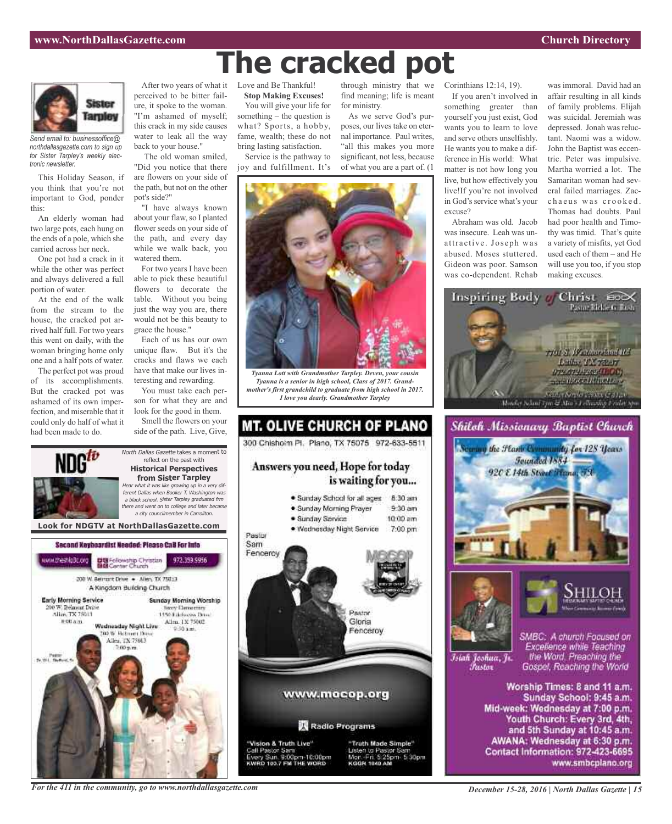

*Send email to: businessoffice@ northdallasgazette.com to sign up for Sister Tarpley's weekly electronic newsletter.*

This Holiday Season, if you think that you're not important to God, ponder this:

An elderly woman had two large pots, each hung on the ends of a pole, which she carried across her neck.

One pot had a crack in it while the other was perfect and always delivered a full portion of water.

At the end of the walk from the stream to the house, the cracked pot arrived half full. For two years this went on daily, with the woman bringing home only one and a half pots of water.

The perfect pot was proud of its accomplishments. But the cracked pot was ashamed of its own imperfection, and miserable that it could only do half of what it had been made to do.

After two years of what it perceived to be bitter failure, it spoke to the woman. "I'm ashamed of myself; this crack in my side causes water to leak all the way back to your house."

The old woman smiled, "Did you notice that there are flowers on your side of the path, but not on the other pot's side?"

"I have always known about your flaw, so I planted flower seeds on your side of the path, and every day while we walk back, you watered them.

For two years I have been able to pick these beautiful flowers to decorate the table. Without you being just the way you are, there would not be this beauty to grace the house."

Each of us has our own unique flaw. But it's the cracks and flaws we each have that make our lives interesting and rewarding.

You must take each person for what they are and look for the good in them.

Smell the flowers on your side of the path. Live, Give,

North Dallas Gazette takes a moment to reflect on the past with **Historical Perspectives from Sister Tarpley**

Love and Be Thankful!

**Stop Making Excuses!** You will give your life for something – the question is what? Sports, a hobby, fame, wealth; these do not bring lasting satisfaction.

Service is the pathway to joy and fulfillment. It's

through ministry that we find meaning; life is meant for ministry.

As we serve God's purposes, our lives take on eternal importance. Paul writes, "all this makes you more significant, not less, because of what you are a part of. (1



**The cracked pot**

*Tyanna Lott with Grandmother Tarpley. Deven, your cousin Tyanna is a senior in high school, Class of 2017. Grandmother's first grandchild to graduate from high school in 2017. I love you dearly. Grandmother Tarpley*



If you aren't involved in something greater than yourself you just exist, God wants you to learn to love and serve others unselfishly. He wants you to make a difference in His world: What matter is not how long you live, but how effectively you live!If you're not involved in God's service what's your excuse?

Corinthians 12:14, 19).

Abraham was old. Jacob was insecure. Leah was unattractive. Joseph was abused. Moses stuttered. Gideon was poor. Samson was co-dependent. Rehab

was immoral. David had an affair resulting in all kinds of family problems. Elijah was suicidal. Jeremiah was depressed. Jonah was reluctant. Naomi was a widow. John the Baptist was eccentric. Peter was impulsive. Martha worried a lot. The Samaritan woman had several failed marriages. Zacchaeus was crooked. Thomas had doubts. Paul had poor health and Timothy was timid. That's quite a variety of misfits, yet God used each of them – and He will use you too, if you stop making excuses.







SMBC: A church Focused on

Īsiah Joshua, Jr. Fustor

Excellence while Teaching the Word. Preaching the Gospel, Reaching the World

Worship Times: 8 and 11 a.m. Sunday School: 9:45 a.m. Mid-week: Wednesday at 7:00 p.m. Youth Church: Every 3rd, 4th, and 5th Sunday at 10:45 a.m. AWANA: Wednesday at 6:30 p.m. Contact Information: 972-423-6695 www.smbcplano.org

Hear what it was like growing up in <sup>a</sup> very different Dallas when Booker T. Washington was <sup>a</sup> black school. Sister Tarpley graduated frm there and went on to college and later became <sup>a</sup> city councilmember in Carrollton. **Look for NDGTV at NorthDallasGazette.com**Second Keyboardist Needed: Please CaB For Info DE Fellowship Christian<br>BIB Center Church ww.theship3c.org 972.359.9956 200 W. Bernsht Drive . - Allen, TX 75013 A Kingdom Building Church **Early Morning Service** Sunday Morning Worship 00 W. Belmont Drive **Nexty Elementary** Alice, TX 75013 1450 Ethnologies Drug-Allen, 1X 75002 **图 00 点 图** Wadnasday Night Live **DO W. Retroem Days** Allen, TX 75013

*For the 411 in the community, go to www.northdallasgazette.com*